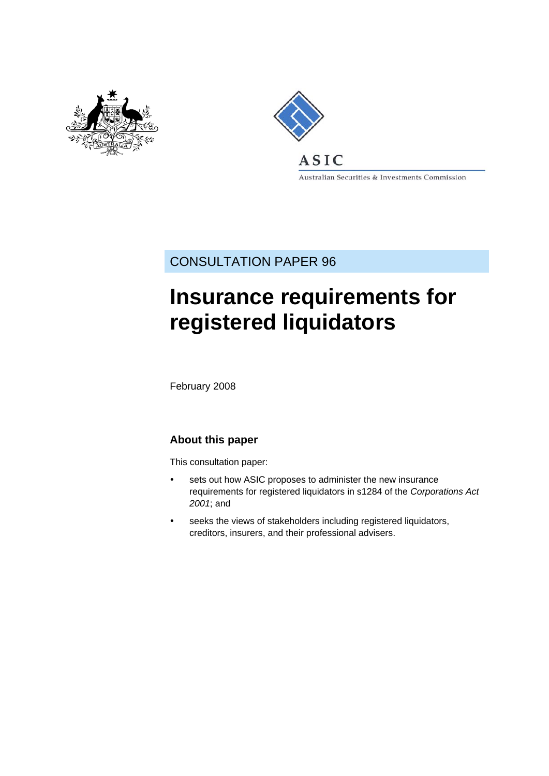



Australian Securities & Investments Commission

CONSULTATION PAPER 96

# **Insurance requirements for registered liquidators**

February 2008

# **About this paper**

This consultation paper:

- sets out how ASIC proposes to administer the new insurance requirements for registered liquidators in s1284 of the *Corporations Act 2001*; and
- seeks the views of stakeholders including registered liquidators, creditors, insurers, and their professional advisers.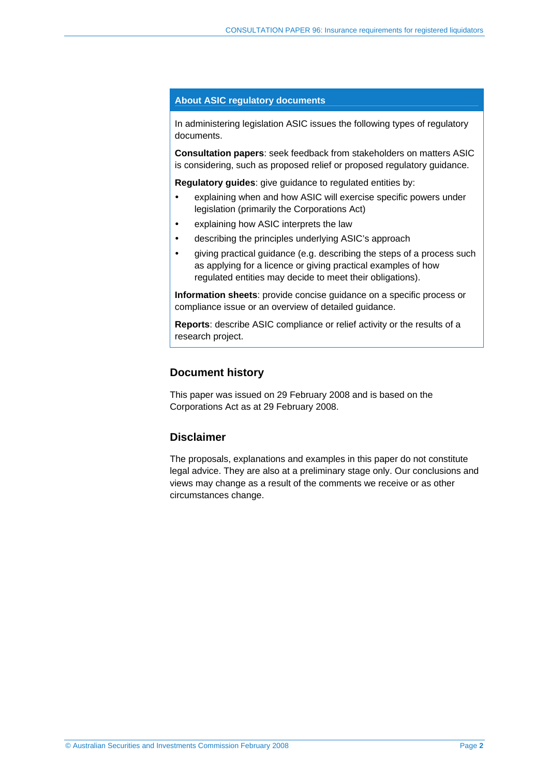### **About ASIC regulatory documents**

In administering legislation ASIC issues the following types of regulatory documents.

**Consultation papers**: seek feedback from stakeholders on matters ASIC is considering, such as proposed relief or proposed regulatory guidance.

**Regulatory guides**: give guidance to regulated entities by:

- explaining when and how ASIC will exercise specific powers under legislation (primarily the Corporations Act)
- explaining how ASIC interprets the law
- describing the principles underlying ASIC's approach
- giving practical guidance (e.g. describing the steps of a process such as applying for a licence or giving practical examples of how regulated entities may decide to meet their obligations).

**Information sheets**: provide concise guidance on a specific process or compliance issue or an overview of detailed guidance.

**Reports**: describe ASIC compliance or relief activity or the results of a research project.

## **Document history**

This paper was issued on 29 February 2008 and is based on the Corporations Act as at 29 February 2008.

## **Disclaimer**

The proposals, explanations and examples in this paper do not constitute legal advice. They are also at a preliminary stage only. Our conclusions and views may change as a result of the comments we receive or as other circumstances change.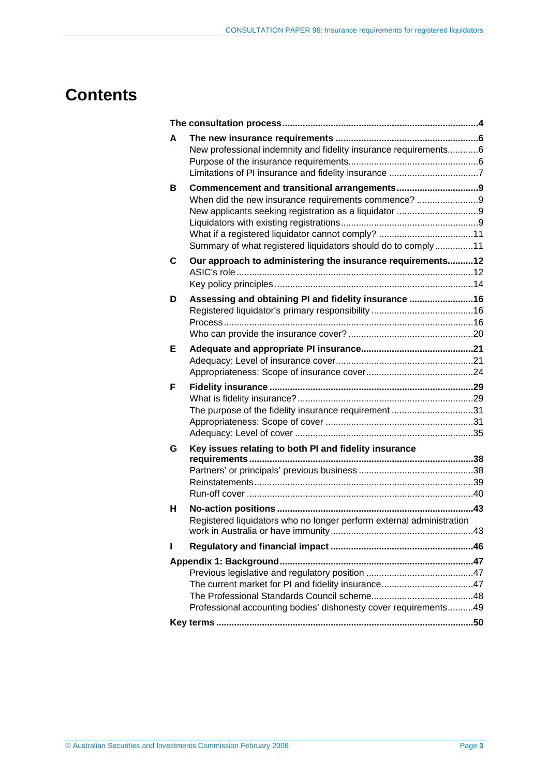# **Contents**

| A | New professional indemnity and fidelity insurance requirements6                                                                                                          |  |
|---|--------------------------------------------------------------------------------------------------------------------------------------------------------------------------|--|
| в | When did the new insurance requirements commence? 9<br>What if a registered liquidator cannot comply? 11<br>Summary of what registered liquidators should do to comply11 |  |
| С | Our approach to administering the insurance requirements12                                                                                                               |  |
| D | Assessing and obtaining PI and fidelity insurance 16                                                                                                                     |  |
| Е |                                                                                                                                                                          |  |
| F | The purpose of the fidelity insurance requirement31                                                                                                                      |  |
| G | Key issues relating to both PI and fidelity insurance                                                                                                                    |  |
| н | Registered liquidators who no longer perform external administration                                                                                                     |  |
| н |                                                                                                                                                                          |  |
|   |                                                                                                                                                                          |  |
|   | Professional accounting bodies' dishonesty cover requirements49                                                                                                          |  |
|   |                                                                                                                                                                          |  |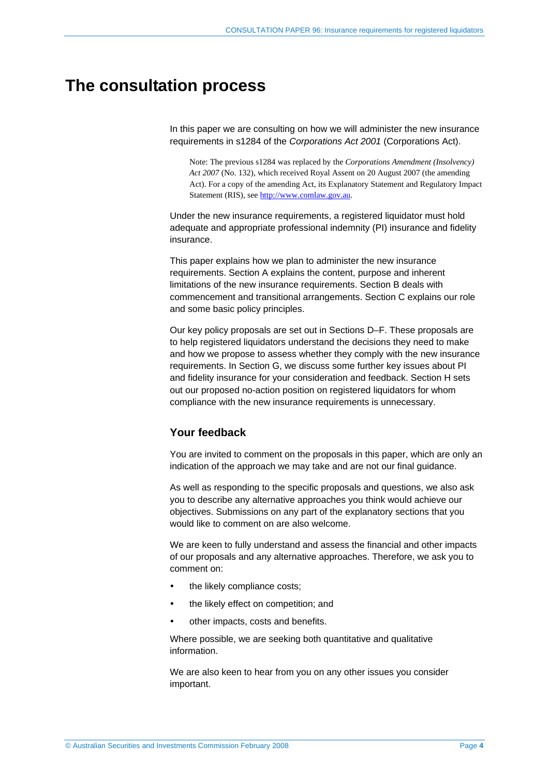# **The consultation process**

In this paper we are consulting on how we will administer the new insurance requirements in s1284 of the *Corporations Act 2001* (Corporations Act).

Note: The previous s1284 was replaced by the *Corporations Amendment (Insolvency) Act 2007* (No. 132), which received Royal Assent on 20 August 2007 (the amending Act). For a copy of the amending Act, its Explanatory Statement and Regulatory Impact Statement (RIS), see http://www.comlaw.gov.au.

Under the new insurance requirements, a registered liquidator must hold adequate and appropriate professional indemnity (PI) insurance and fidelity insurance.

This paper explains how we plan to administer the new insurance requirements. Section A explains the content, purpose and inherent limitations of the new insurance requirements. Section B deals with commencement and transitional arrangements. Section C explains our role and some basic policy principles.

Our key policy proposals are set out in Sections D–F. These proposals are to help registered liquidators understand the decisions they need to make and how we propose to assess whether they comply with the new insurance requirements. In Section G, we discuss some further key issues about PI and fidelity insurance for your consideration and feedback. Section H sets out our proposed no-action position on registered liquidators for whom compliance with the new insurance requirements is unnecessary.

## **Your feedback**

You are invited to comment on the proposals in this paper, which are only an indication of the approach we may take and are not our final guidance.

As well as responding to the specific proposals and questions, we also ask you to describe any alternative approaches you think would achieve our objectives. Submissions on any part of the explanatory sections that you would like to comment on are also welcome.

We are keen to fully understand and assess the financial and other impacts of our proposals and any alternative approaches. Therefore, we ask you to comment on:

- the likely compliance costs;
- the likely effect on competition; and
- other impacts, costs and benefits.

Where possible, we are seeking both quantitative and qualitative information.

We are also keen to hear from you on any other issues you consider important.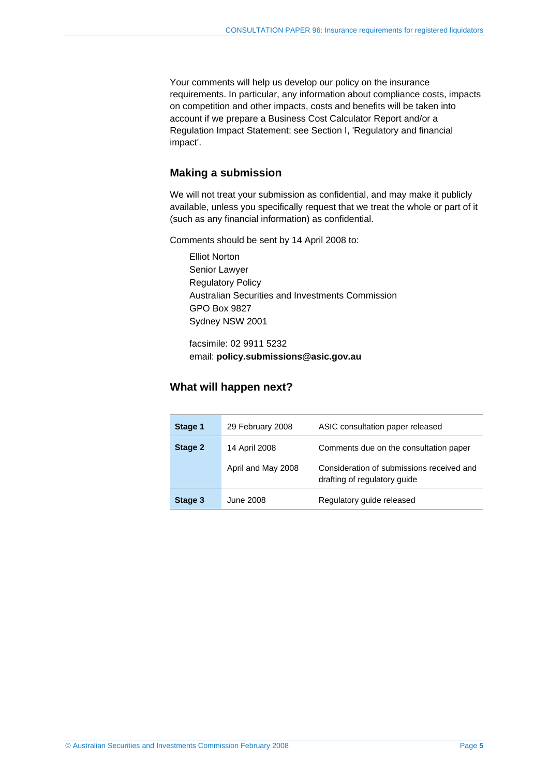Your comments will help us develop our policy on the insurance requirements. In particular, any information about compliance costs, impacts on competition and other impacts, costs and benefits will be taken into account if we prepare a Business Cost Calculator Report and/or a Regulation Impact Statement: see Section I, 'Regulatory and financial impact'.

## **Making a submission**

We will not treat your submission as confidential, and may make it publicly available, unless you specifically request that we treat the whole or part of it (such as any financial information) as confidential.

Comments should be sent by 14 April 2008 to:

Elliot Norton Senior Lawyer Regulatory Policy Australian Securities and Investments Commission GPO Box 9827 Sydney NSW 2001

facsimile: 02 9911 5232 email: **policy.submissions@asic.gov.au**

## **What will happen next?**

| Stage 1 | 29 February 2008   | ASIC consultation paper released                                          |
|---------|--------------------|---------------------------------------------------------------------------|
| Stage 2 | 14 April 2008      | Comments due on the consultation paper                                    |
|         | April and May 2008 | Consideration of submissions received and<br>drafting of regulatory guide |
| Stage 3 | June 2008          | Regulatory guide released                                                 |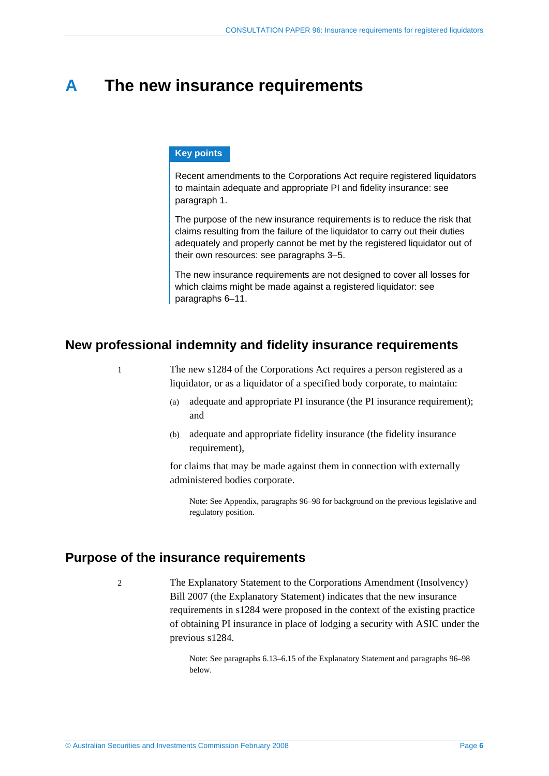# **A The new insurance requirements**

#### **Key points**

Recent amendments to the Corporations Act require registered liquidators to maintain adequate and appropriate PI and fidelity insurance: see paragraph 1.

The purpose of the new insurance requirements is to reduce the risk that claims resulting from the failure of the liquidator to carry out their duties adequately and properly cannot be met by the registered liquidator out of their own resources: see paragraphs 3–5.

The new insurance requirements are not designed to cover all losses for which claims might be made against a registered liquidator: see paragraphs 6–11.

## **New professional indemnity and fidelity insurance requirements**

1 The new s1284 of the Corporations Act requires a person registered as a liquidator, or as a liquidator of a specified body corporate, to maintain:

- (a) adequate and appropriate PI insurance (the PI insurance requirement); and
- (b) adequate and appropriate fidelity insurance (the fidelity insurance requirement),

for claims that may be made against them in connection with externally administered bodies corporate.

Note: See Appendix, paragraphs 96–98 for background on the previous legislative and regulatory position.

## **Purpose of the insurance requirements**

2 The Explanatory Statement to the Corporations Amendment (Insolvency) Bill 2007 (the Explanatory Statement) indicates that the new insurance requirements in s1284 were proposed in the context of the existing practice of obtaining PI insurance in place of lodging a security with ASIC under the previous s1284.

> Note: See paragraphs 6.13–6.15 of the Explanatory Statement and paragraphs 96–98 below.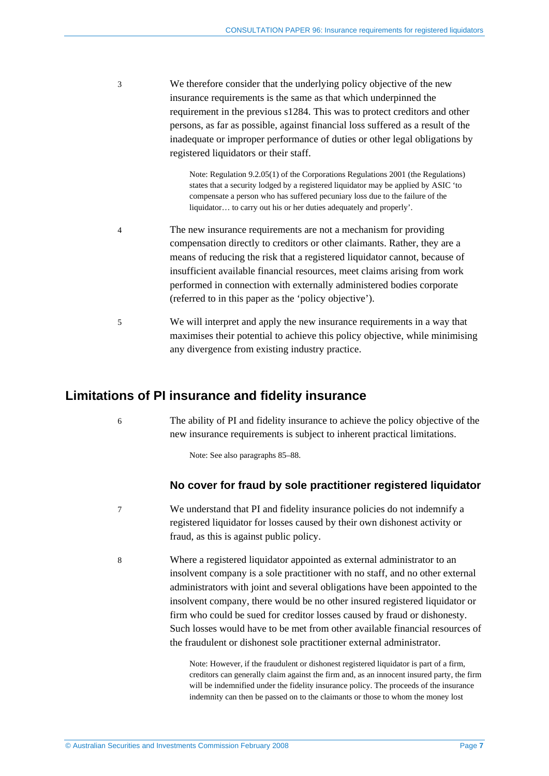3 We therefore consider that the underlying policy objective of the new insurance requirements is the same as that which underpinned the requirement in the previous s1284. This was to protect creditors and other persons, as far as possible, against financial loss suffered as a result of the inadequate or improper performance of duties or other legal obligations by registered liquidators or their staff.

> Note: Regulation 9.2.05(1) of the Corporations Regulations 2001 (the Regulations) states that a security lodged by a registered liquidator may be applied by ASIC 'to compensate a person who has suffered pecuniary loss due to the failure of the liquidator… to carry out his or her duties adequately and properly'.

- 4 The new insurance requirements are not a mechanism for providing compensation directly to creditors or other claimants. Rather, they are a means of reducing the risk that a registered liquidator cannot, because of insufficient available financial resources, meet claims arising from work performed in connection with externally administered bodies corporate (referred to in this paper as the 'policy objective').
- 5 We will interpret and apply the new insurance requirements in a way that maximises their potential to achieve this policy objective, while minimising any divergence from existing industry practice.

## **Limitations of PI insurance and fidelity insurance**

6 The ability of PI and fidelity insurance to achieve the policy objective of the new insurance requirements is subject to inherent practical limitations.

Note: See also paragraphs 85–88.

## **No cover for fraud by sole practitioner registered liquidator**

- 7 We understand that PI and fidelity insurance policies do not indemnify a registered liquidator for losses caused by their own dishonest activity or fraud, as this is against public policy.
- 8 Where a registered liquidator appointed as external administrator to an insolvent company is a sole practitioner with no staff, and no other external administrators with joint and several obligations have been appointed to the insolvent company, there would be no other insured registered liquidator or firm who could be sued for creditor losses caused by fraud or dishonesty. Such losses would have to be met from other available financial resources of the fraudulent or dishonest sole practitioner external administrator.

Note: However, if the fraudulent or dishonest registered liquidator is part of a firm, creditors can generally claim against the firm and, as an innocent insured party, the firm will be indemnified under the fidelity insurance policy. The proceeds of the insurance indemnity can then be passed on to the claimants or those to whom the money lost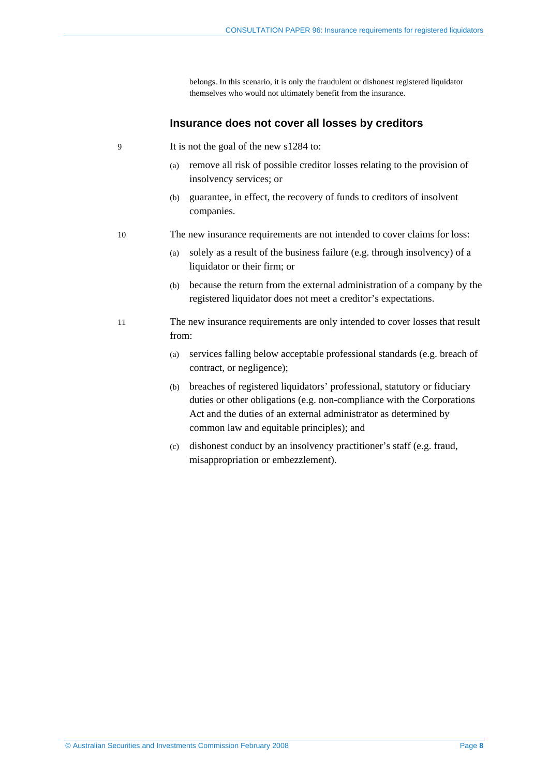belongs. In this scenario, it is only the fraudulent or dishonest registered liquidator themselves who would not ultimately benefit from the insurance.

#### **Insurance does not cover all losses by creditors**

- 9 It is not the goal of the new s1284 to:
	- (a) remove all risk of possible creditor losses relating to the provision of insolvency services; or
	- (b) guarantee, in effect, the recovery of funds to creditors of insolvent companies.

#### 10 The new insurance requirements are not intended to cover claims for loss:

- (a) solely as a result of the business failure (e.g. through insolvency) of a liquidator or their firm; or
- (b) because the return from the external administration of a company by the registered liquidator does not meet a creditor's expectations.
- 11 The new insurance requirements are only intended to cover losses that result from:
	- (a) services falling below acceptable professional standards (e.g. breach of contract, or negligence);
	- (b) breaches of registered liquidators' professional, statutory or fiduciary duties or other obligations (e.g. non-compliance with the Corporations Act and the duties of an external administrator as determined by common law and equitable principles); and
	- (c) dishonest conduct by an insolvency practitioner's staff (e.g. fraud, misappropriation or embezzlement).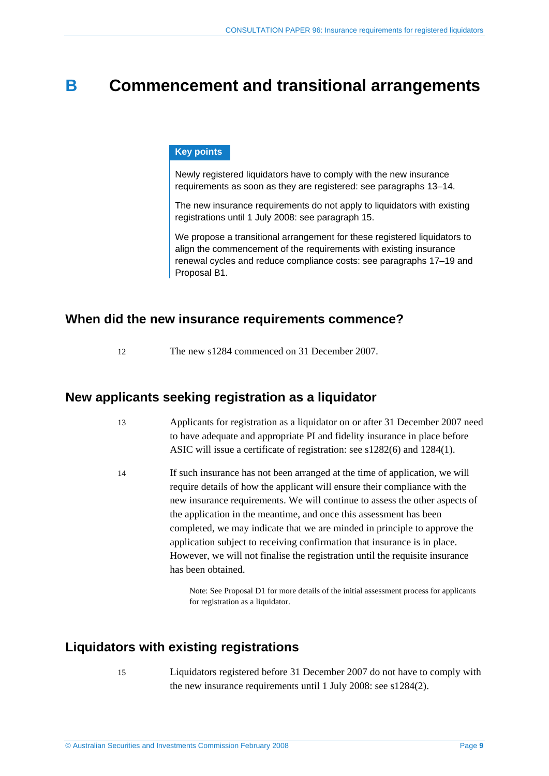# **B Commencement and transitional arrangements**

### **Key points**

Newly registered liquidators have to comply with the new insurance requirements as soon as they are registered: see paragraphs 13–14.

The new insurance requirements do not apply to liquidators with existing registrations until 1 July 2008: see paragraph 15.

We propose a transitional arrangement for these registered liquidators to align the commencement of the requirements with existing insurance renewal cycles and reduce compliance costs: see paragraphs 17–19 and Proposal B1.

## **When did the new insurance requirements commence?**

12 The new s1284 commenced on 31 December 2007.

## **New applicants seeking registration as a liquidator**

- 13 Applicants for registration as a liquidator on or after 31 December 2007 need to have adequate and appropriate PI and fidelity insurance in place before ASIC will issue a certificate of registration: see s1282(6) and 1284(1).
- 14 If such insurance has not been arranged at the time of application, we will require details of how the applicant will ensure their compliance with the new insurance requirements. We will continue to assess the other aspects of the application in the meantime, and once this assessment has been completed, we may indicate that we are minded in principle to approve the application subject to receiving confirmation that insurance is in place. However, we will not finalise the registration until the requisite insurance has been obtained.

Note: See Proposal D1 for more details of the initial assessment process for applicants for registration as a liquidator.

# **Liquidators with existing registrations**

- 
- 15 Liquidators registered before 31 December 2007 do not have to comply with the new insurance requirements until 1 July 2008: see s1284(2).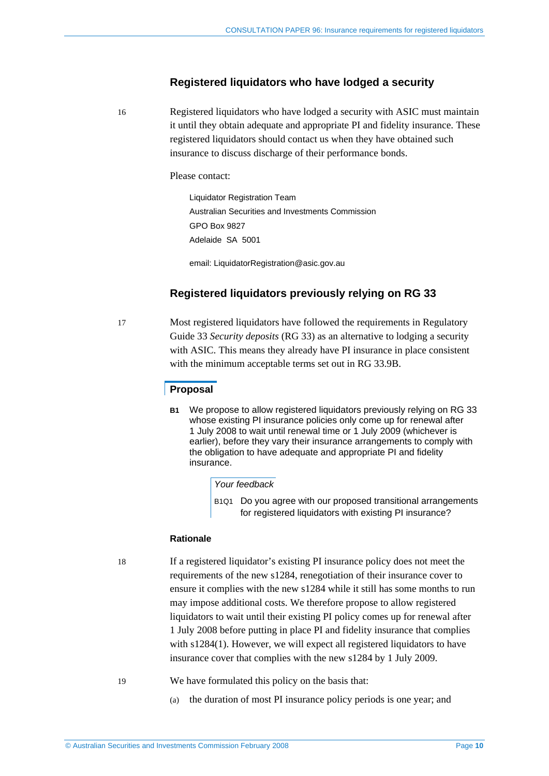## **Registered liquidators who have lodged a security**

16 Registered liquidators who have lodged a security with ASIC must maintain it until they obtain adequate and appropriate PI and fidelity insurance. These registered liquidators should contact us when they have obtained such insurance to discuss discharge of their performance bonds.

#### Please contact:

Liquidator Registration Team Australian Securities and Investments Commission GPO Box 9827 Adelaide SA 5001

email: LiquidatorRegistration@asic.gov.au

## **Registered liquidators previously relying on RG 33**

17 Most registered liquidators have followed the requirements in Regulatory Guide 33 *Security deposits* (RG 33) as an alternative to lodging a security with ASIC. This means they already have PI insurance in place consistent with the minimum acceptable terms set out in RG 33.9B.

### **Proposal**

**B1** We propose to allow registered liquidators previously relying on RG 33 whose existing PI insurance policies only come up for renewal after 1 July 2008 to wait until renewal time or 1 July 2009 (whichever is earlier), before they vary their insurance arrangements to comply with the obligation to have adequate and appropriate PI and fidelity insurance.

#### *Your feedback*

B1Q1 Do you agree with our proposed transitional arrangements for registered liquidators with existing PI insurance?

#### **Rationale**

18 If a registered liquidator's existing PI insurance policy does not meet the requirements of the new s1284, renegotiation of their insurance cover to ensure it complies with the new s1284 while it still has some months to run may impose additional costs. We therefore propose to allow registered liquidators to wait until their existing PI policy comes up for renewal after 1 July 2008 before putting in place PI and fidelity insurance that complies with s1284(1). However, we will expect all registered liquidators to have insurance cover that complies with the new s1284 by 1 July 2009.

19 We have formulated this policy on the basis that:

(a) the duration of most PI insurance policy periods is one year; and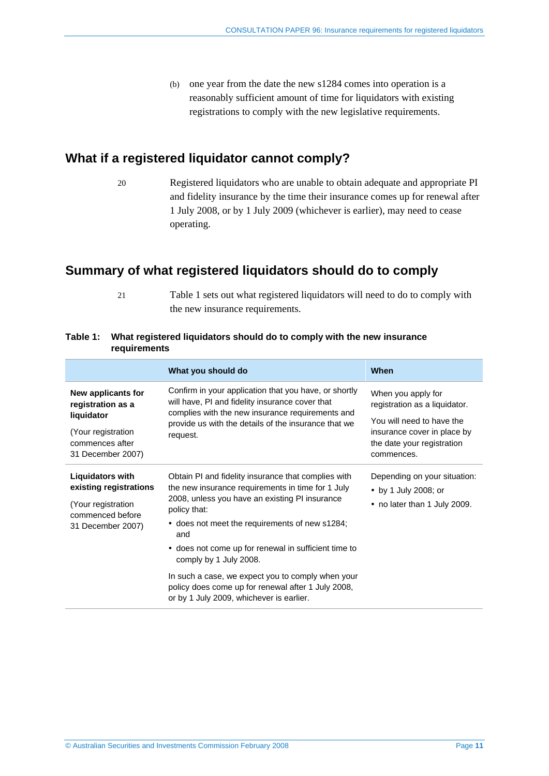(b) one year from the date the new s1284 comes into operation is a reasonably sufficient amount of time for liquidators with existing registrations to comply with the new legislative requirements.

# **What if a registered liquidator cannot comply?**

20 Registered liquidators who are unable to obtain adequate and appropriate PI and fidelity insurance by the time their insurance comes up for renewal after 1 July 2008, or by 1 July 2009 (whichever is earlier), may need to cease operating.

# **Summary of what registered liquidators should do to comply**

21 Table 1 sets out what registered liquidators will need to do to comply with the new insurance requirements.

|                                                                                                                  | What you should do                                                                                                                                                                                                                  | When                                                                                                 |
|------------------------------------------------------------------------------------------------------------------|-------------------------------------------------------------------------------------------------------------------------------------------------------------------------------------------------------------------------------------|------------------------------------------------------------------------------------------------------|
| New applicants for<br>registration as a<br>liquidator                                                            | Confirm in your application that you have, or shortly<br>will have, PI and fidelity insurance cover that<br>complies with the new insurance requirements and<br>provide us with the details of the insurance that we<br>request.    | When you apply for<br>registration as a liquidator.                                                  |
| (Your registration<br>commences after<br>31 December 2007)                                                       |                                                                                                                                                                                                                                     | You will need to have the<br>insurance cover in place by<br>the date your registration<br>commences. |
| <b>Liquidators with</b><br>existing registrations<br>(Your registration<br>commenced before<br>31 December 2007) | Obtain PI and fidelity insurance that complies with<br>the new insurance requirements in time for 1 July<br>2008, unless you have an existing PI insurance<br>policy that:<br>• does not meet the requirements of new s1284;<br>and | Depending on your situation:<br>• by 1 July 2008; or<br>• no later than 1 July 2009.                 |
|                                                                                                                  | • does not come up for renewal in sufficient time to<br>comply by 1 July 2008.                                                                                                                                                      |                                                                                                      |
|                                                                                                                  | In such a case, we expect you to comply when your<br>policy does come up for renewal after 1 July 2008,<br>or by 1 July 2009, whichever is earlier.                                                                                 |                                                                                                      |

## **Table 1: What registered liquidators should do to comply with the new insurance requirements**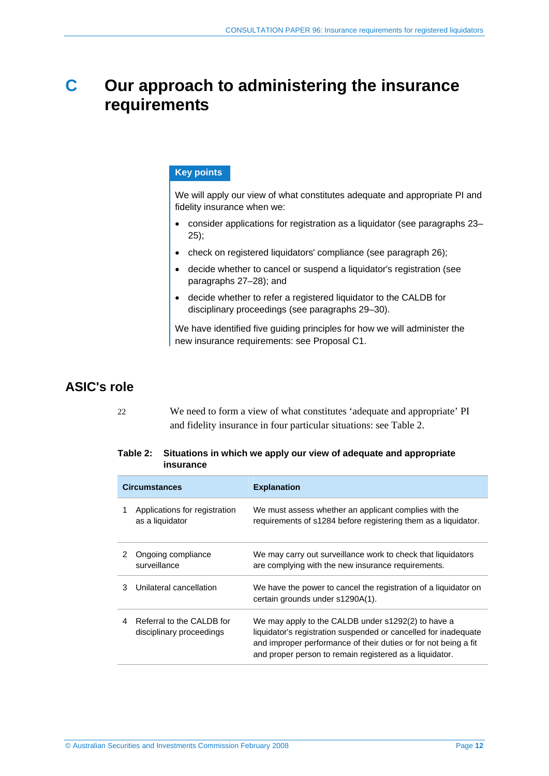# **C Our approach to administering the insurance requirements**

## **Key points**

We will apply our view of what constitutes adequate and appropriate PI and fidelity insurance when we:

- consider applications for registration as a liquidator (see paragraphs 23– 25);
- check on registered liquidators' compliance (see paragraph 26);
- decide whether to cancel or suspend a liquidator's registration (see paragraphs 27–28); and
- decide whether to refer a registered liquidator to the CALDB for disciplinary proceedings (see paragraphs 29–30).

We have identified five guiding principles for how we will administer the new insurance requirements: see Proposal C1.

# **ASIC's role**

22 We need to form a view of what constitutes 'adequate and appropriate' PI and fidelity insurance in four particular situations: see Table 2.

#### **Table 2: Situations in which we apply our view of adequate and appropriate insurance**

| <b>Circumstances</b> |                                                       | <b>Explanation</b>                                                                                                                                                                                                                                  |
|----------------------|-------------------------------------------------------|-----------------------------------------------------------------------------------------------------------------------------------------------------------------------------------------------------------------------------------------------------|
|                      | Applications for registration<br>as a liquidator      | We must assess whether an applicant complies with the<br>requirements of s1284 before registering them as a liquidator.                                                                                                                             |
| 2                    | Ongoing compliance<br>surveillance                    | We may carry out surveillance work to check that liquidators<br>are complying with the new insurance requirements.                                                                                                                                  |
| 3                    | Unilateral cancellation                               | We have the power to cancel the registration of a liquidator on<br>certain grounds under s1290A(1).                                                                                                                                                 |
| 4                    | Referral to the CALDB for<br>disciplinary proceedings | We may apply to the CALDB under s1292(2) to have a<br>liquidator's registration suspended or cancelled for inadequate<br>and improper performance of their duties or for not being a fit<br>and proper person to remain registered as a liquidator. |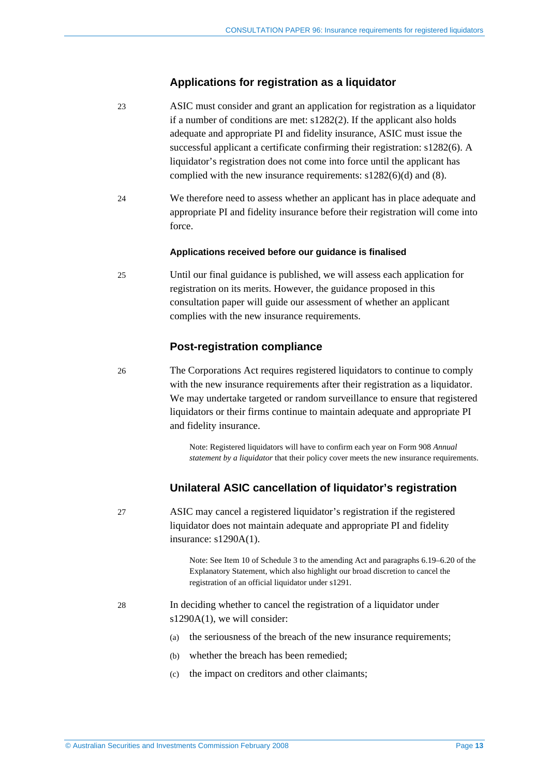### **Applications for registration as a liquidator**

- 23 ASIC must consider and grant an application for registration as a liquidator if a number of conditions are met: s1282(2). If the applicant also holds adequate and appropriate PI and fidelity insurance, ASIC must issue the successful applicant a certificate confirming their registration: s1282(6). A liquidator's registration does not come into force until the applicant has complied with the new insurance requirements: s1282(6)(d) and (8).
- 24 We therefore need to assess whether an applicant has in place adequate and appropriate PI and fidelity insurance before their registration will come into force.

#### **Applications received before our guidance is finalised**

25 Until our final guidance is published, we will assess each application for registration on its merits. However, the guidance proposed in this consultation paper will guide our assessment of whether an applicant complies with the new insurance requirements.

## **Post-registration compliance**

26 The Corporations Act requires registered liquidators to continue to comply with the new insurance requirements after their registration as a liquidator. We may undertake targeted or random surveillance to ensure that registered liquidators or their firms continue to maintain adequate and appropriate PI and fidelity insurance.

> Note: Registered liquidators will have to confirm each year on Form 908 *Annual statement by a liquidator* that their policy cover meets the new insurance requirements.

### **Unilateral ASIC cancellation of liquidator's registration**

27 ASIC may cancel a registered liquidator's registration if the registered liquidator does not maintain adequate and appropriate PI and fidelity insurance: s1290A(1).

> Note: See Item 10 of Schedule 3 to the amending Act and paragraphs 6.19–6.20 of the Explanatory Statement, which also highlight our broad discretion to cancel the registration of an official liquidator under s1291.

- 28 In deciding whether to cancel the registration of a liquidator under s1290A(1), we will consider:
	- (a) the seriousness of the breach of the new insurance requirements;
	- (b) whether the breach has been remedied;
	- (c) the impact on creditors and other claimants;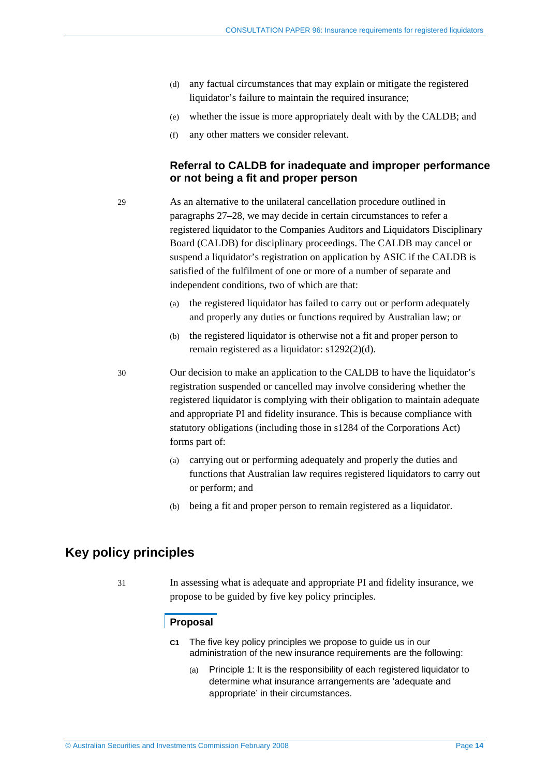- (d) any factual circumstances that may explain or mitigate the registered liquidator's failure to maintain the required insurance:
- (e) whether the issue is more appropriately dealt with by the CALDB; and
- (f) any other matters we consider relevant.

## **Referral to CALDB for inadequate and improper performance or not being a fit and proper person**

29 As an alternative to the unilateral cancellation procedure outlined in paragraphs 27–28, we may decide in certain circumstances to refer a registered liquidator to the Companies Auditors and Liquidators Disciplinary Board (CALDB) for disciplinary proceedings. The CALDB may cancel or suspend a liquidator's registration on application by ASIC if the CALDB is satisfied of the fulfilment of one or more of a number of separate and independent conditions, two of which are that:

- (a) the registered liquidator has failed to carry out or perform adequately and properly any duties or functions required by Australian law; or
- (b) the registered liquidator is otherwise not a fit and proper person to remain registered as a liquidator: s1292(2)(d).

30 Our decision to make an application to the CALDB to have the liquidator's registration suspended or cancelled may involve considering whether the registered liquidator is complying with their obligation to maintain adequate and appropriate PI and fidelity insurance. This is because compliance with statutory obligations (including those in s1284 of the Corporations Act) forms part of:

- (a) carrying out or performing adequately and properly the duties and functions that Australian law requires registered liquidators to carry out or perform; and
- (b) being a fit and proper person to remain registered as a liquidator.

# **Key policy principles**

31 In assessing what is adequate and appropriate PI and fidelity insurance, we propose to be guided by five key policy principles.

### **Proposal**

- **C1** The five key policy principles we propose to guide us in our administration of the new insurance requirements are the following:
	- (a) Principle 1: It is the responsibility of each registered liquidator to determine what insurance arrangements are 'adequate and appropriate' in their circumstances.

© Australian Securities and Investments Commission February 2008 Page **14**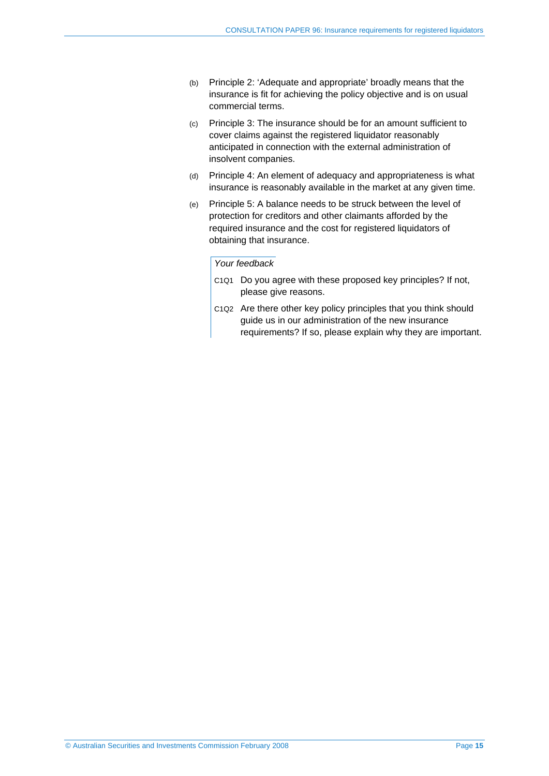- (b) Principle 2: 'Adequate and appropriate' broadly means that the insurance is fit for achieving the policy objective and is on usual commercial terms.
- (c) Principle 3: The insurance should be for an amount sufficient to cover claims against the registered liquidator reasonably anticipated in connection with the external administration of insolvent companies.
- (d) Principle 4: An element of adequacy and appropriateness is what insurance is reasonably available in the market at any given time.
- (e) Principle 5: A balance needs to be struck between the level of protection for creditors and other claimants afforded by the required insurance and the cost for registered liquidators of obtaining that insurance.

#### *Your feedback*

- C1Q1 Do you agree with these proposed key principles? If not, please give reasons.
- C1Q2 Are there other key policy principles that you think should guide us in our administration of the new insurance requirements? If so, please explain why they are important.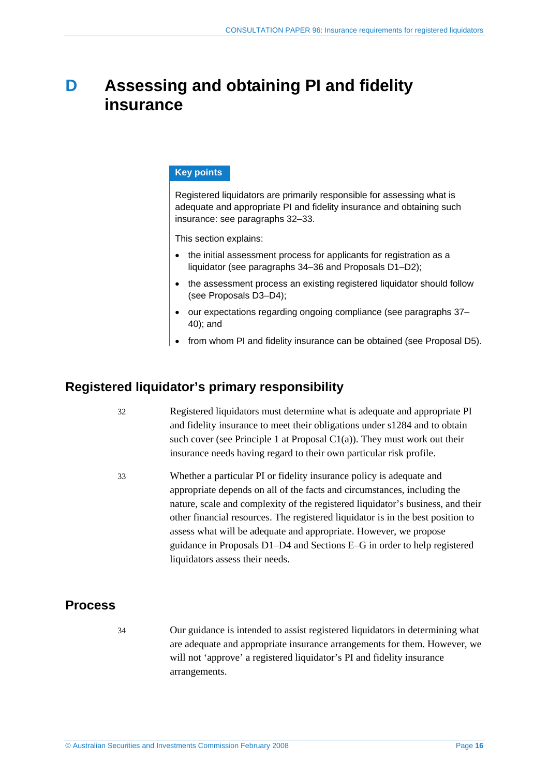# **D Assessing and obtaining PI and fidelity insurance**

## **Key points**

Registered liquidators are primarily responsible for assessing what is adequate and appropriate PI and fidelity insurance and obtaining such insurance: see paragraphs 32–33.

This section explains:

- the initial assessment process for applicants for registration as a liquidator (see paragraphs 34–36 and Proposals D1–D2);
- the assessment process an existing registered liquidator should follow (see Proposals D3–D4);
- our expectations regarding ongoing compliance (see paragraphs 37– 40); and
- from whom PI and fidelity insurance can be obtained (see Proposal D5).

## **Registered liquidator's primary responsibility**

- 32 Registered liquidators must determine what is adequate and appropriate PI and fidelity insurance to meet their obligations under s1284 and to obtain such cover (see Principle 1 at Proposal  $Cl(a)$ ). They must work out their insurance needs having regard to their own particular risk profile.
- 33 Whether a particular PI or fidelity insurance policy is adequate and appropriate depends on all of the facts and circumstances, including the nature, scale and complexity of the registered liquidator's business, and their other financial resources. The registered liquidator is in the best position to assess what will be adequate and appropriate. However, we propose guidance in Proposals D1–D4 and Sections E–G in order to help registered liquidators assess their needs.

## **Process**

34 Our guidance is intended to assist registered liquidators in determining what are adequate and appropriate insurance arrangements for them. However, we will not 'approve' a registered liquidator's PI and fidelity insurance arrangements.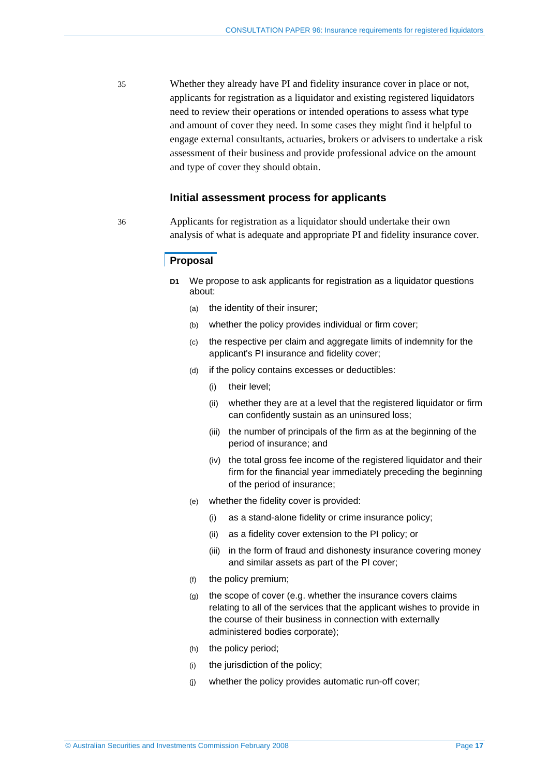35 Whether they already have PI and fidelity insurance cover in place or not, applicants for registration as a liquidator and existing registered liquidators need to review their operations or intended operations to assess what type and amount of cover they need. In some cases they might find it helpful to engage external consultants, actuaries, brokers or advisers to undertake a risk assessment of their business and provide professional advice on the amount and type of cover they should obtain.

### **Initial assessment process for applicants**

36 Applicants for registration as a liquidator should undertake their own analysis of what is adequate and appropriate PI and fidelity insurance cover.

### **Proposal**

- **D1** We propose to ask applicants for registration as a liquidator questions about:
	- (a) the identity of their insurer;
	- (b) whether the policy provides individual or firm cover;
	- (c) the respective per claim and aggregate limits of indemnity for the applicant's PI insurance and fidelity cover;
	- (d) if the policy contains excesses or deductibles:
		- (i) their level;
		- (ii) whether they are at a level that the registered liquidator or firm can confidently sustain as an uninsured loss;
		- (iii) the number of principals of the firm as at the beginning of the period of insurance; and
		- (iv) the total gross fee income of the registered liquidator and their firm for the financial year immediately preceding the beginning of the period of insurance;
	- (e) whether the fidelity cover is provided:
		- (i) as a stand-alone fidelity or crime insurance policy;
		- (ii) as a fidelity cover extension to the PI policy; or
		- (iii) in the form of fraud and dishonesty insurance covering money and similar assets as part of the PI cover;
	- (f) the policy premium;
	- (g) the scope of cover (e.g. whether the insurance covers claims relating to all of the services that the applicant wishes to provide in the course of their business in connection with externally administered bodies corporate);
	- (h) the policy period;
	- (i) the jurisdiction of the policy;
	- (j) whether the policy provides automatic run-off cover;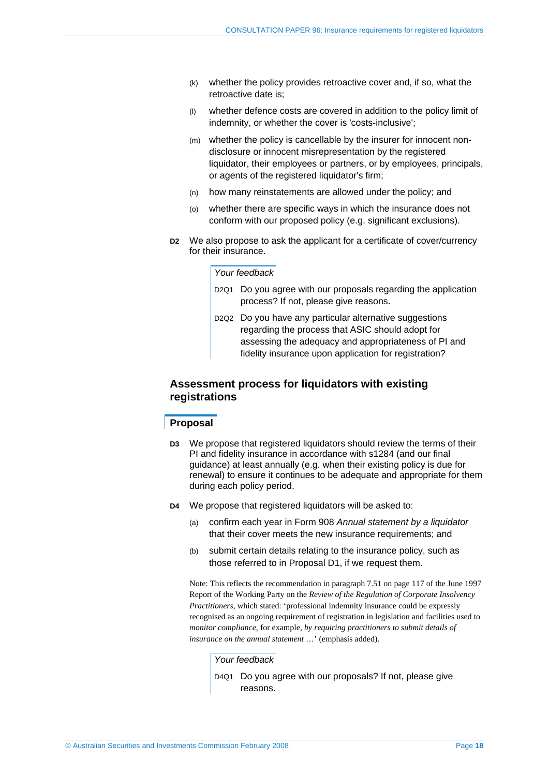- (k) whether the policy provides retroactive cover and, if so, what the retroactive date is;
- (l) whether defence costs are covered in addition to the policy limit of indemnity, or whether the cover is 'costs-inclusive';
- (m) whether the policy is cancellable by the insurer for innocent nondisclosure or innocent misrepresentation by the registered liquidator, their employees or partners, or by employees, principals, or agents of the registered liquidator's firm;
- (n) how many reinstatements are allowed under the policy; and
- (o) whether there are specific ways in which the insurance does not conform with our proposed policy (e.g. significant exclusions).
- **D2** We also propose to ask the applicant for a certificate of cover/currency for their insurance.

#### *Your feedback*

- D2Q1 Do you agree with our proposals regarding the application process? If not, please give reasons.
- D2Q2 Do you have any particular alternative suggestions regarding the process that ASIC should adopt for assessing the adequacy and appropriateness of PI and fidelity insurance upon application for registration?

## **Assessment process for liquidators with existing registrations**

#### **Proposal**

- **D3** We propose that registered liquidators should review the terms of their PI and fidelity insurance in accordance with s1284 (and our final guidance) at least annually (e.g. when their existing policy is due for renewal) to ensure it continues to be adequate and appropriate for them during each policy period.
- **D4** We propose that registered liquidators will be asked to:
	- (a) confirm each year in Form 908 *Annual statement by a liquidator* that their cover meets the new insurance requirements; and
	- (b) submit certain details relating to the insurance policy, such as those referred to in Proposal D1, if we request them.

Note: This reflects the recommendation in paragraph 7.51 on page 117 of the June 1997 Report of the Working Party on the *Review of the Regulation of Corporate Insolvency Practitioners*, which stated: 'professional indemnity insurance could be expressly recognised as an ongoing requirement of registration in legislation and facilities used to *monitor compliance*, for example, *by requiring practitioners to submit details of insurance on the annual statement* …' (emphasis added).

#### *Your feedback*

D4Q1 Do you agree with our proposals? If not, please give reasons.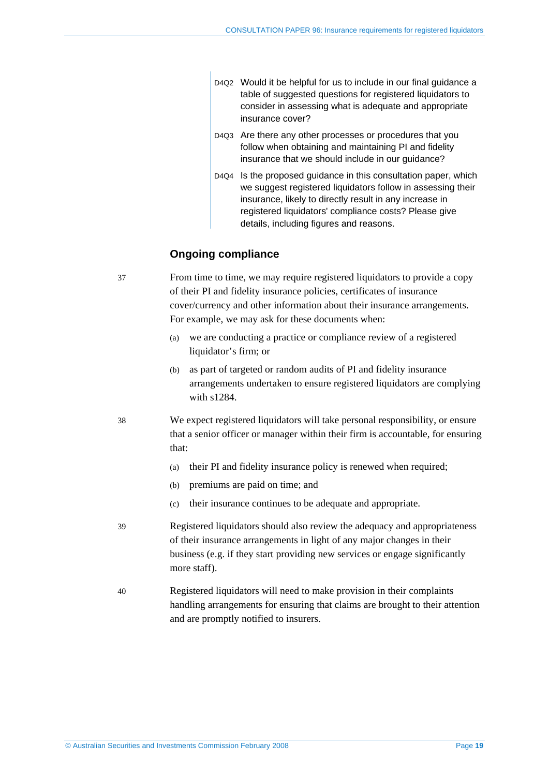- D4Q2 Would it be helpful for us to include in our final guidance a table of suggested questions for registered liquidators to consider in assessing what is adequate and appropriate insurance cover?
- D4Q3 Are there any other processes or procedures that you follow when obtaining and maintaining PI and fidelity insurance that we should include in our guidance?
- D4Q4 Is the proposed guidance in this consultation paper, which we suggest registered liquidators follow in assessing their insurance, likely to directly result in any increase in registered liquidators' compliance costs? Please give details, including figures and reasons.

## **Ongoing compliance**

37 From time to time, we may require registered liquidators to provide a copy of their PI and fidelity insurance policies, certificates of insurance cover/currency and other information about their insurance arrangements. For example, we may ask for these documents when:

- (a) we are conducting a practice or compliance review of a registered liquidator's firm; or
- (b) as part of targeted or random audits of PI and fidelity insurance arrangements undertaken to ensure registered liquidators are complying with s1284.
- 38 We expect registered liquidators will take personal responsibility, or ensure that a senior officer or manager within their firm is accountable, for ensuring that:
	- (a) their PI and fidelity insurance policy is renewed when required;
	- (b) premiums are paid on time; and
	- (c) their insurance continues to be adequate and appropriate.
- 39 Registered liquidators should also review the adequacy and appropriateness of their insurance arrangements in light of any major changes in their business (e.g. if they start providing new services or engage significantly more staff).
- 40 Registered liquidators will need to make provision in their complaints handling arrangements for ensuring that claims are brought to their attention and are promptly notified to insurers.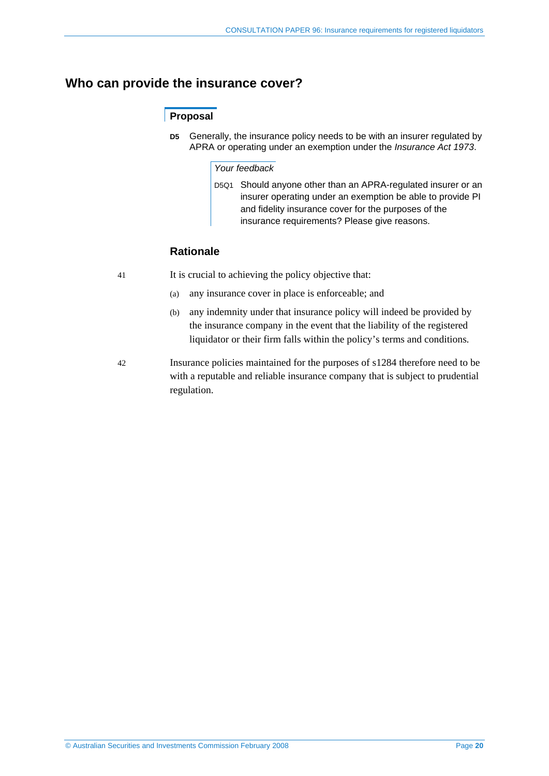# **Who can provide the insurance cover?**

## **Proposal**

**D5** Generally, the insurance policy needs to be with an insurer regulated by APRA or operating under an exemption under the *Insurance Act 1973*.

### *Your feedback*

D5Q1 Should anyone other than an APRA-regulated insurer or an insurer operating under an exemption be able to provide PI and fidelity insurance cover for the purposes of the insurance requirements? Please give reasons.

## **Rationale**

- 41 It is crucial to achieving the policy objective that:
	- (a) any insurance cover in place is enforceable; and
	- (b) any indemnity under that insurance policy will indeed be provided by the insurance company in the event that the liability of the registered liquidator or their firm falls within the policy's terms and conditions.
- 42 Insurance policies maintained for the purposes of s1284 therefore need to be with a reputable and reliable insurance company that is subject to prudential regulation.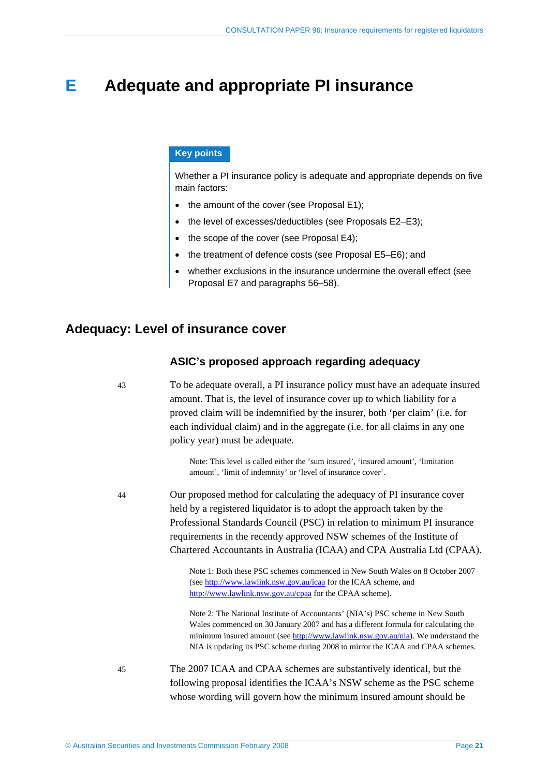# **E Adequate and appropriate PI insurance**

## **Key points**

Whether a PI insurance policy is adequate and appropriate depends on five main factors:

- the amount of the cover (see Proposal E1);
- the level of excesses/deductibles (see Proposals E2–E3);
- the scope of the cover (see Proposal E4);
- the treatment of defence costs (see Proposal E5–E6); and
- whether exclusions in the insurance undermine the overall effect (see Proposal E7 and paragraphs 56–58).

## **Adequacy: Level of insurance cover**

## **ASIC's proposed approach regarding adequacy**

43 To be adequate overall, a PI insurance policy must have an adequate insured amount. That is, the level of insurance cover up to which liability for a proved claim will be indemnified by the insurer, both 'per claim' (i.e. for each individual claim) and in the aggregate (i.e. for all claims in any one policy year) must be adequate.

> Note: This level is called either the 'sum insured', 'insured amount', 'limitation amount', 'limit of indemnity' or 'level of insurance cover'.

44 Our proposed method for calculating the adequacy of PI insurance cover held by a registered liquidator is to adopt the approach taken by the Professional Standards Council (PSC) in relation to minimum PI insurance requirements in the recently approved NSW schemes of the Institute of Chartered Accountants in Australia (ICAA) and CPA Australia Ltd (CPAA).

> Note 1: Both these PSC schemes commenced in New South Wales on 8 October 2007 (see http://www.lawlink.nsw.gov.au/icaa for the ICAA scheme, and http://www.lawlink.nsw.gov.au/cpaa for the CPAA scheme).

Note 2: The National Institute of Accountants' (NIA's) PSC scheme in New South Wales commenced on 30 January 2007 and has a different formula for calculating the minimum insured amount (see http://www.lawlink.nsw.gov.au/nia). We understand the NIA is updating its PSC scheme during 2008 to mirror the ICAA and CPAA schemes.

45 The 2007 ICAA and CPAA schemes are substantively identical, but the following proposal identifies the ICAA's NSW scheme as the PSC scheme whose wording will govern how the minimum insured amount should be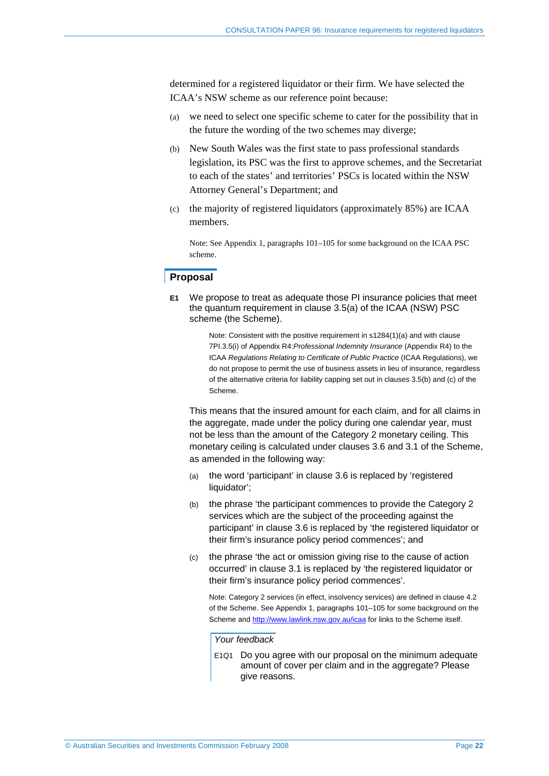determined for a registered liquidator or their firm. We have selected the ICAA's NSW scheme as our reference point because:

- (a) we need to select one specific scheme to cater for the possibility that in the future the wording of the two schemes may diverge;
- (b) New South Wales was the first state to pass professional standards legislation, its PSC was the first to approve schemes, and the Secretariat to each of the states' and territories' PSCs is located within the NSW Attorney General's Department; and
- (c) the majority of registered liquidators (approximately 85%) are ICAA members.

Note: See Appendix 1, paragraphs 101–105 for some background on the ICAA PSC scheme.

## **Proposal**

**E1** We propose to treat as adequate those PI insurance policies that meet the quantum requirement in clause 3.5(a) of the ICAA (NSW) PSC scheme (the Scheme).

> Note: Consistent with the positive requirement in s1284(1)(a) and with clause 7PI.3.5(i) of Appendix R4:*Professional Indemnity Insurance* (Appendix R4) to the ICAA *Regulations Relating to Certificate of Public Practice* (ICAA Regulations), we do not propose to permit the use of business assets in lieu of insurance, regardless of the alternative criteria for liability capping set out in clauses 3.5(b) and (c) of the Scheme.

 This means that the insured amount for each claim, and for all claims in the aggregate, made under the policy during one calendar year, must not be less than the amount of the Category 2 monetary ceiling. This monetary ceiling is calculated under clauses 3.6 and 3.1 of the Scheme, as amended in the following way:

- (a) the word 'participant' in clause 3.6 is replaced by 'registered liquidator';
- (b) the phrase 'the participant commences to provide the Category 2 services which are the subject of the proceeding against the participant' in clause 3.6 is replaced by 'the registered liquidator or their firm's insurance policy period commences'; and
- (c) the phrase 'the act or omission giving rise to the cause of action occurred' in clause 3.1 is replaced by 'the registered liquidator or their firm's insurance policy period commences'.

Note: Category 2 services (in effect, insolvency services) are defined in clause 4.2 of the Scheme. See Appendix 1, paragraphs 101–105 for some background on the Scheme and http://www.lawlink.nsw.gov.au/icaa for links to the Scheme itself.

*Your feedback* 

E1Q1 Do you agree with our proposal on the minimum adequate amount of cover per claim and in the aggregate? Please give reasons.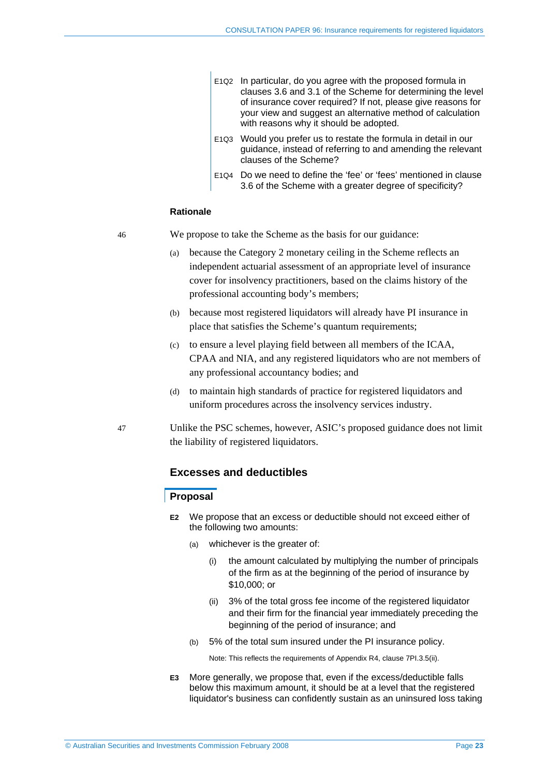- E1Q2 In particular, do you agree with the proposed formula in clauses 3.6 and 3.1 of the Scheme for determining the level of insurance cover required? If not, please give reasons for your view and suggest an alternative method of calculation with reasons why it should be adopted.
- E1Q3 Would you prefer us to restate the formula in detail in our guidance, instead of referring to and amending the relevant clauses of the Scheme?
- E1Q4 Do we need to define the 'fee' or 'fees' mentioned in clause 3.6 of the Scheme with a greater degree of specificity?

#### **Rationale**

46 We propose to take the Scheme as the basis for our guidance:

- (a) because the Category 2 monetary ceiling in the Scheme reflects an independent actuarial assessment of an appropriate level of insurance cover for insolvency practitioners, based on the claims history of the professional accounting body's members;
- (b) because most registered liquidators will already have PI insurance in place that satisfies the Scheme's quantum requirements;
- (c) to ensure a level playing field between all members of the ICAA, CPAA and NIA, and any registered liquidators who are not members of any professional accountancy bodies; and
- (d) to maintain high standards of practice for registered liquidators and uniform procedures across the insolvency services industry.
- 47 Unlike the PSC schemes, however, ASIC's proposed guidance does not limit the liability of registered liquidators.

## **Excesses and deductibles**

#### **Proposal**

- **E2** We propose that an excess or deductible should not exceed either of the following two amounts:
	- (a) whichever is the greater of:
		- (i) the amount calculated by multiplying the number of principals of the firm as at the beginning of the period of insurance by \$10,000; or
		- (ii) 3% of the total gross fee income of the registered liquidator and their firm for the financial year immediately preceding the beginning of the period of insurance; and
	- (b) 5% of the total sum insured under the PI insurance policy.

Note: This reflects the requirements of Appendix R4, clause 7PI.3.5(ii).

**E3** More generally, we propose that, even if the excess/deductible falls below this maximum amount, it should be at a level that the registered liquidator's business can confidently sustain as an uninsured loss taking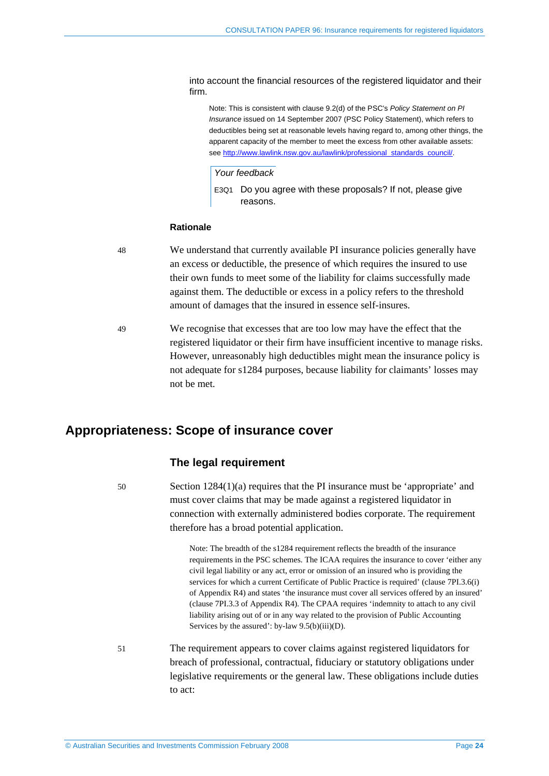into account the financial resources of the registered liquidator and their firm.

Note: This is consistent with clause 9.2(d) of the PSC's *Policy Statement on PI Insurance* issued on 14 September 2007 (PSC Policy Statement), which refers to deductibles being set at reasonable levels having regard to, among other things, the apparent capacity of the member to meet the excess from other available assets: see http://www.lawlink.nsw.gov.au/lawlink/professional\_standards\_council/.

*Your feedback* 

E3Q1 Do you agree with these proposals? If not, please give reasons.

#### **Rationale**

- 48 We understand that currently available PI insurance policies generally have an excess or deductible, the presence of which requires the insured to use their own funds to meet some of the liability for claims successfully made against them. The deductible or excess in a policy refers to the threshold amount of damages that the insured in essence self-insures.
- 49 We recognise that excesses that are too low may have the effect that the registered liquidator or their firm have insufficient incentive to manage risks. However, unreasonably high deductibles might mean the insurance policy is not adequate for s1284 purposes, because liability for claimants' losses may not be met.

## **Appropriateness: Scope of insurance cover**

#### **The legal requirement**

50 Section 1284(1)(a) requires that the PI insurance must be 'appropriate' and must cover claims that may be made against a registered liquidator in connection with externally administered bodies corporate. The requirement therefore has a broad potential application.

> Note: The breadth of the s1284 requirement reflects the breadth of the insurance requirements in the PSC schemes. The ICAA requires the insurance to cover 'either any civil legal liability or any act, error or omission of an insured who is providing the services for which a current Certificate of Public Practice is required' (clause 7PI.3.6(i) of Appendix R4) and states 'the insurance must cover all services offered by an insured' (clause 7PI.3.3 of Appendix R4). The CPAA requires 'indemnity to attach to any civil liability arising out of or in any way related to the provision of Public Accounting Services by the assured': by-law  $9.5(b)(iii)(D)$ .

51 The requirement appears to cover claims against registered liquidators for breach of professional, contractual, fiduciary or statutory obligations under legislative requirements or the general law. These obligations include duties to act: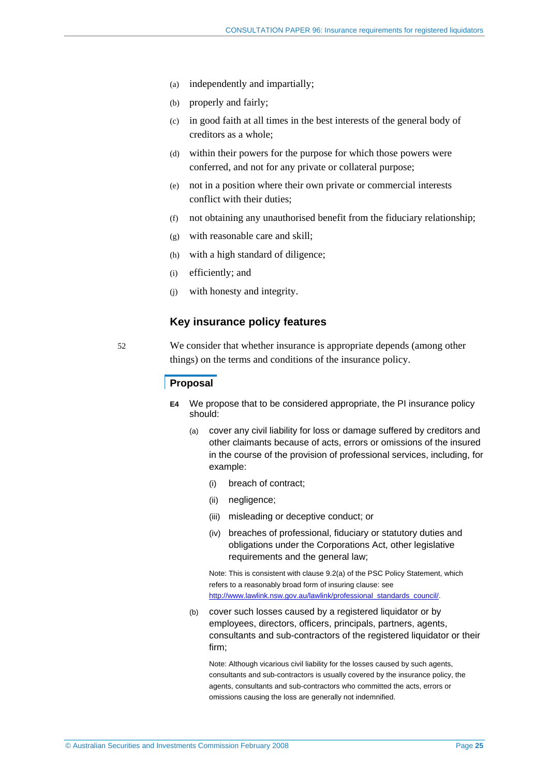- (a) independently and impartially;
- (b) properly and fairly;
- (c) in good faith at all times in the best interests of the general body of creditors as a whole;
- (d) within their powers for the purpose for which those powers were conferred, and not for any private or collateral purpose;
- (e) not in a position where their own private or commercial interests conflict with their duties;
- (f) not obtaining any unauthorised benefit from the fiduciary relationship;
- (g) with reasonable care and skill;
- (h) with a high standard of diligence;
- (i) efficiently; and
- (j) with honesty and integrity.

## **Key insurance policy features**

52 We consider that whether insurance is appropriate depends (among other things) on the terms and conditions of the insurance policy.

### **Proposal**

- **E4** We propose that to be considered appropriate, the PI insurance policy should:
	- (a) cover any civil liability for loss or damage suffered by creditors and other claimants because of acts, errors or omissions of the insured in the course of the provision of professional services, including, for example:
		- (i) breach of contract;
		- (ii) negligence;
		- (iii) misleading or deceptive conduct; or
		- (iv) breaches of professional, fiduciary or statutory duties and obligations under the Corporations Act, other legislative requirements and the general law;

Note: This is consistent with clause 9.2(a) of the PSC Policy Statement, which refers to a reasonably broad form of insuring clause: see http://www.lawlink.nsw.gov.au/lawlink/professional\_standards\_council/.

(b) cover such losses caused by a registered liquidator or by employees, directors, officers, principals, partners, agents, consultants and sub-contractors of the registered liquidator or their firm;

Note: Although vicarious civil liability for the losses caused by such agents, consultants and sub-contractors is usually covered by the insurance policy, the agents, consultants and sub-contractors who committed the acts, errors or omissions causing the loss are generally not indemnified.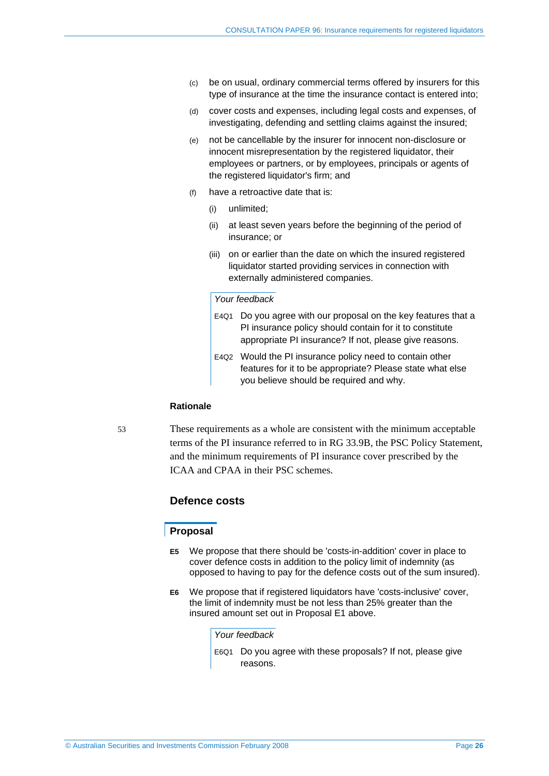- (c) be on usual, ordinary commercial terms offered by insurers for this type of insurance at the time the insurance contact is entered into;
- (d) cover costs and expenses, including legal costs and expenses, of investigating, defending and settling claims against the insured;
- (e) not be cancellable by the insurer for innocent non-disclosure or innocent misrepresentation by the registered liquidator, their employees or partners, or by employees, principals or agents of the registered liquidator's firm; and
- (f) have a retroactive date that is:
	- (i) unlimited;
	- (ii) at least seven years before the beginning of the period of insurance; or
	- (iii) on or earlier than the date on which the insured registered liquidator started providing services in connection with externally administered companies.

### *Your feedback*

- E4Q1 Do you agree with our proposal on the key features that a PI insurance policy should contain for it to constitute appropriate PI insurance? If not, please give reasons.
- E4Q2 Would the PI insurance policy need to contain other features for it to be appropriate? Please state what else you believe should be required and why.

#### **Rationale**

53 These requirements as a whole are consistent with the minimum acceptable terms of the PI insurance referred to in RG 33.9B, the PSC Policy Statement, and the minimum requirements of PI insurance cover prescribed by the ICAA and CPAA in their PSC schemes.

## **Defence costs**

#### **Proposal**

- **E5** We propose that there should be 'costs-in-addition' cover in place to cover defence costs in addition to the policy limit of indemnity (as opposed to having to pay for the defence costs out of the sum insured).
- **E6** We propose that if registered liquidators have 'costs-inclusive' cover, the limit of indemnity must be not less than 25% greater than the insured amount set out in Proposal E1 above.

*Your feedback* 

E6Q1 Do you agree with these proposals? If not, please give reasons.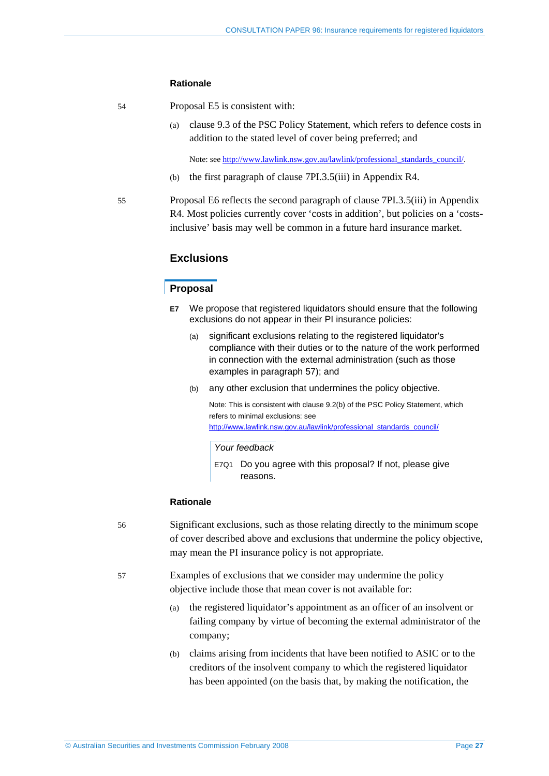#### **Rationale**

- 54 Proposal E5 is consistent with:
	- (a) clause 9.3 of the PSC Policy Statement, which refers to defence costs in addition to the stated level of cover being preferred; and

Note: see http://www.lawlink.nsw.gov.au/lawlink/professional\_standards\_council/.

- (b) the first paragraph of clause 7PI.3.5(iii) in Appendix R4.
- 55 Proposal E6 reflects the second paragraph of clause 7PI.3.5(iii) in Appendix R4. Most policies currently cover 'costs in addition', but policies on a 'costsinclusive' basis may well be common in a future hard insurance market.

## **Exclusions**

## **Proposal**

- **E7** We propose that registered liquidators should ensure that the following exclusions do not appear in their PI insurance policies:
	- (a) significant exclusions relating to the registered liquidator's compliance with their duties or to the nature of the work performed in connection with the external administration (such as those examples in paragraph 57); and
	- (b) any other exclusion that undermines the policy objective.

Note: This is consistent with clause 9.2(b) of the PSC Policy Statement, which refers to minimal exclusions: see http://www.lawlink.nsw.gov.au/lawlink/professional\_standards\_council/

#### *Your feedback*

E7Q1 Do you agree with this proposal? If not, please give reasons.

#### **Rationale**

- 56 Significant exclusions, such as those relating directly to the minimum scope of cover described above and exclusions that undermine the policy objective, may mean the PI insurance policy is not appropriate.
- 57 Examples of exclusions that we consider may undermine the policy objective include those that mean cover is not available for:
	- (a) the registered liquidator's appointment as an officer of an insolvent or failing company by virtue of becoming the external administrator of the company;
	- (b) claims arising from incidents that have been notified to ASIC or to the creditors of the insolvent company to which the registered liquidator has been appointed (on the basis that, by making the notification, the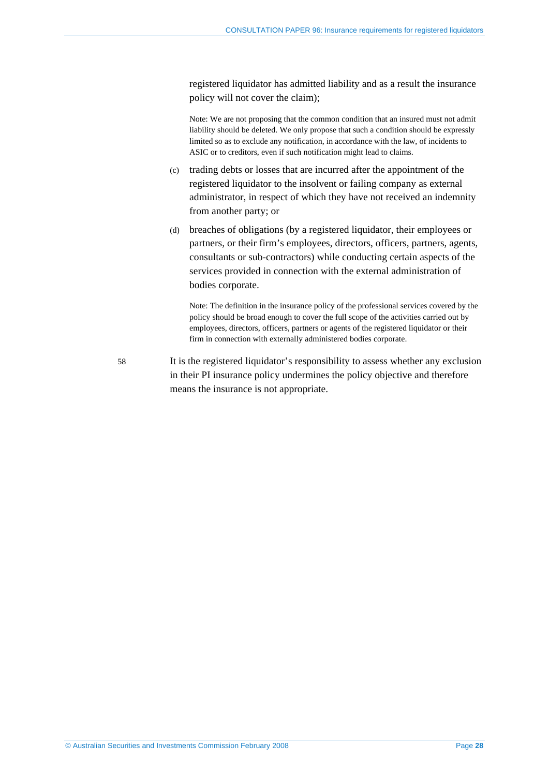registered liquidator has admitted liability and as a result the insurance policy will not cover the claim);

Note: We are not proposing that the common condition that an insured must not admit liability should be deleted. We only propose that such a condition should be expressly limited so as to exclude any notification, in accordance with the law, of incidents to ASIC or to creditors, even if such notification might lead to claims.

- (c) trading debts or losses that are incurred after the appointment of the registered liquidator to the insolvent or failing company as external administrator, in respect of which they have not received an indemnity from another party; or
- (d) breaches of obligations (by a registered liquidator, their employees or partners, or their firm's employees, directors, officers, partners, agents, consultants or sub-contractors) while conducting certain aspects of the services provided in connection with the external administration of bodies corporate.

Note: The definition in the insurance policy of the professional services covered by the policy should be broad enough to cover the full scope of the activities carried out by employees, directors, officers, partners or agents of the registered liquidator or their firm in connection with externally administered bodies corporate.

58 It is the registered liquidator's responsibility to assess whether any exclusion in their PI insurance policy undermines the policy objective and therefore means the insurance is not appropriate.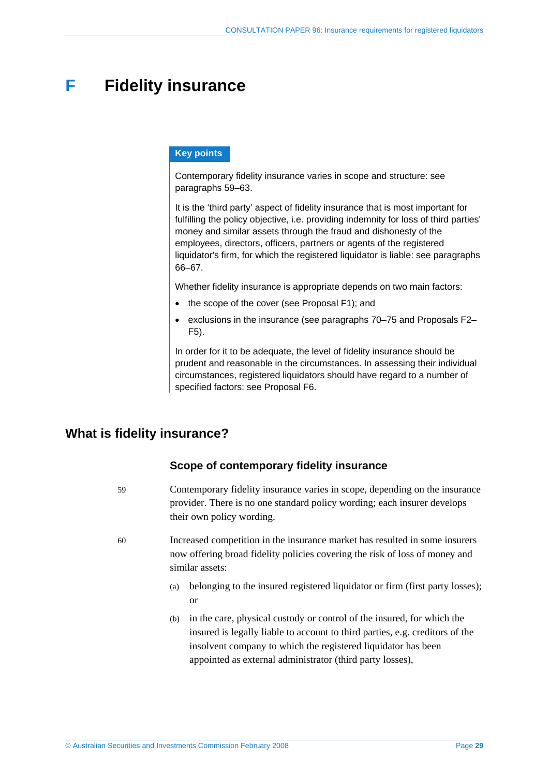# **F Fidelity insurance**

## **Key points**

Contemporary fidelity insurance varies in scope and structure: see paragraphs 59–63.

It is the 'third party' aspect of fidelity insurance that is most important for fulfilling the policy objective, i.e. providing indemnity for loss of third parties' money and similar assets through the fraud and dishonesty of the employees, directors, officers, partners or agents of the registered liquidator's firm, for which the registered liquidator is liable: see paragraphs 66–67.

Whether fidelity insurance is appropriate depends on two main factors:

- the scope of the cover (see Proposal F1); and
- exclusions in the insurance (see paragraphs 70–75 and Proposals F2– F5).

In order for it to be adequate, the level of fidelity insurance should be prudent and reasonable in the circumstances. In assessing their individual circumstances, registered liquidators should have regard to a number of specified factors: see Proposal F6.

# **What is fidelity insurance?**

## **Scope of contemporary fidelity insurance**

- 59 Contemporary fidelity insurance varies in scope, depending on the insurance provider. There is no one standard policy wording; each insurer develops their own policy wording.
- 60 Increased competition in the insurance market has resulted in some insurers now offering broad fidelity policies covering the risk of loss of money and similar assets:
	- (a) belonging to the insured registered liquidator or firm (first party losses); or
	- (b) in the care, physical custody or control of the insured, for which the insured is legally liable to account to third parties, e.g. creditors of the insolvent company to which the registered liquidator has been appointed as external administrator (third party losses),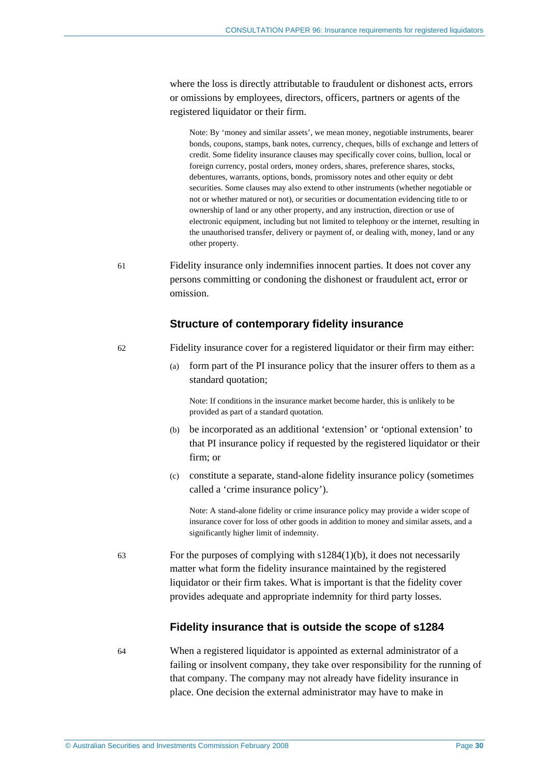where the loss is directly attributable to fraudulent or dishonest acts, errors or omissions by employees, directors, officers, partners or agents of the registered liquidator or their firm.

Note: By 'money and similar assets', we mean money, negotiable instruments, bearer bonds, coupons, stamps, bank notes, currency, cheques, bills of exchange and letters of credit. Some fidelity insurance clauses may specifically cover coins, bullion, local or foreign currency, postal orders, money orders, shares, preference shares, stocks, debentures, warrants, options, bonds, promissory notes and other equity or debt securities. Some clauses may also extend to other instruments (whether negotiable or not or whether matured or not), or securities or documentation evidencing title to or ownership of land or any other property, and any instruction, direction or use of electronic equipment, including but not limited to telephony or the internet, resulting in the unauthorised transfer, delivery or payment of, or dealing with, money, land or any other property.

61 Fidelity insurance only indemnifies innocent parties. It does not cover any persons committing or condoning the dishonest or fraudulent act, error or omission.

#### **Structure of contemporary fidelity insurance**

- 62 Fidelity insurance cover for a registered liquidator or their firm may either:
	- (a) form part of the PI insurance policy that the insurer offers to them as a standard quotation;

Note: If conditions in the insurance market become harder, this is unlikely to be provided as part of a standard quotation.

- (b) be incorporated as an additional 'extension' or 'optional extension' to that PI insurance policy if requested by the registered liquidator or their firm; or
- (c) constitute a separate, stand-alone fidelity insurance policy (sometimes called a 'crime insurance policy').

Note: A stand-alone fidelity or crime insurance policy may provide a wider scope of insurance cover for loss of other goods in addition to money and similar assets, and a significantly higher limit of indemnity.

63 For the purposes of complying with s1284(1)(b), it does not necessarily matter what form the fidelity insurance maintained by the registered liquidator or their firm takes. What is important is that the fidelity cover provides adequate and appropriate indemnity for third party losses.

### **Fidelity insurance that is outside the scope of s1284**

64 When a registered liquidator is appointed as external administrator of a failing or insolvent company, they take over responsibility for the running of that company. The company may not already have fidelity insurance in place. One decision the external administrator may have to make in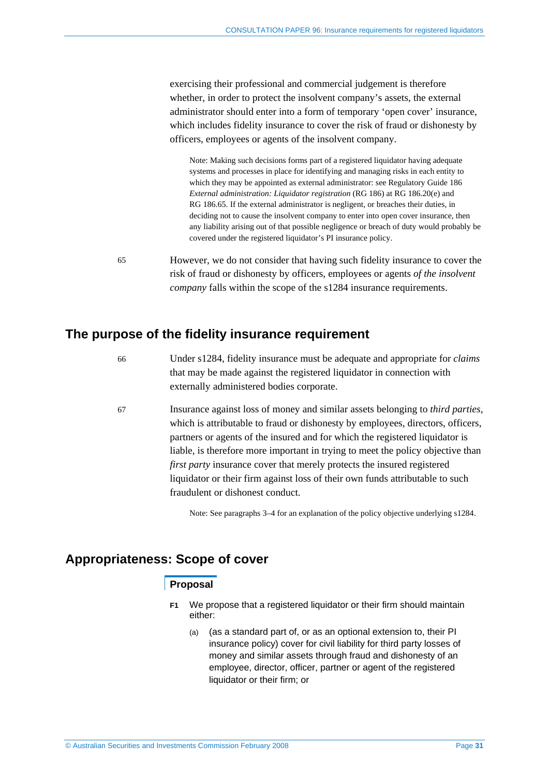exercising their professional and commercial judgement is therefore whether, in order to protect the insolvent company's assets, the external administrator should enter into a form of temporary 'open cover' insurance, which includes fidelity insurance to cover the risk of fraud or dishonesty by officers, employees or agents of the insolvent company.

Note: Making such decisions forms part of a registered liquidator having adequate systems and processes in place for identifying and managing risks in each entity to which they may be appointed as external administrator: see Regulatory Guide 186 *External administration: Liquidator registration* (RG 186) at RG 186.20(e) and RG 186.65. If the external administrator is negligent, or breaches their duties, in deciding not to cause the insolvent company to enter into open cover insurance, then any liability arising out of that possible negligence or breach of duty would probably be covered under the registered liquidator's PI insurance policy.

65 However, we do not consider that having such fidelity insurance to cover the risk of fraud or dishonesty by officers, employees or agents *of the insolvent company* falls within the scope of the s1284 insurance requirements.

## **The purpose of the fidelity insurance requirement**

- 66 Under s1284, fidelity insurance must be adequate and appropriate for *claims* that may be made against the registered liquidator in connection with externally administered bodies corporate.
- 67 Insurance against loss of money and similar assets belonging to *third parties*, which is attributable to fraud or dishonesty by employees, directors, officers, partners or agents of the insured and for which the registered liquidator is liable, is therefore more important in trying to meet the policy objective than *first party* insurance cover that merely protects the insured registered liquidator or their firm against loss of their own funds attributable to such fraudulent or dishonest conduct.

Note: See paragraphs 3–4 for an explanation of the policy objective underlying s1284.

## **Appropriateness: Scope of cover**

## **Proposal**

- **F1** We propose that a registered liquidator or their firm should maintain either:
	- (a) (as a standard part of, or as an optional extension to, their PI insurance policy) cover for civil liability for third party losses of money and similar assets through fraud and dishonesty of an employee, director, officer, partner or agent of the registered liquidator or their firm; or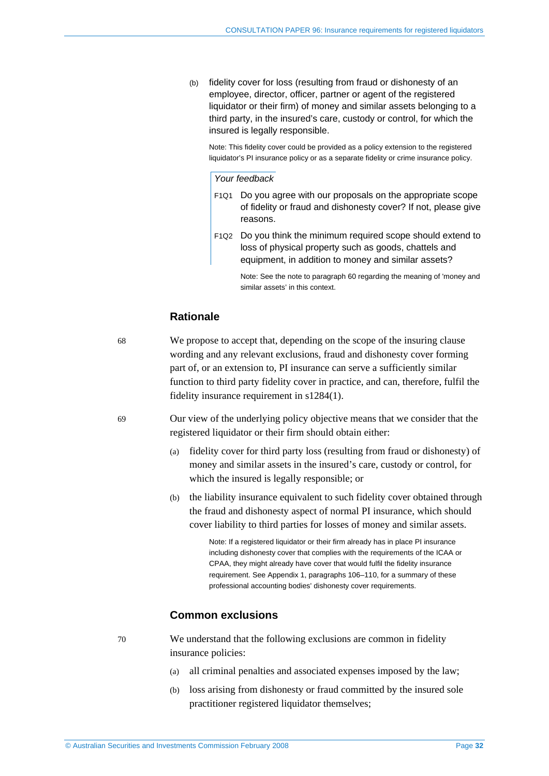(b) fidelity cover for loss (resulting from fraud or dishonesty of an employee, director, officer, partner or agent of the registered liquidator or their firm) of money and similar assets belonging to a third party, in the insured's care, custody or control, for which the insured is legally responsible.

Note: This fidelity cover could be provided as a policy extension to the registered liquidator's PI insurance policy or as a separate fidelity or crime insurance policy.

#### *Your feedback*

- F1Q1 Do you agree with our proposals on the appropriate scope of fidelity or fraud and dishonesty cover? If not, please give reasons.
- F1Q2 Do you think the minimum required scope should extend to loss of physical property such as goods, chattels and equipment, in addition to money and similar assets?

Note: See the note to paragraph 60 regarding the meaning of 'money and similar assets' in this context.

## **Rationale**

68 We propose to accept that, depending on the scope of the insuring clause wording and any relevant exclusions, fraud and dishonesty cover forming part of, or an extension to, PI insurance can serve a sufficiently similar function to third party fidelity cover in practice, and can, therefore, fulfil the fidelity insurance requirement in s1284(1).

69 Our view of the underlying policy objective means that we consider that the registered liquidator or their firm should obtain either:

- (a) fidelity cover for third party loss (resulting from fraud or dishonesty) of money and similar assets in the insured's care, custody or control, for which the insured is legally responsible; or
- (b) the liability insurance equivalent to such fidelity cover obtained through the fraud and dishonesty aspect of normal PI insurance, which should cover liability to third parties for losses of money and similar assets.

Note: If a registered liquidator or their firm already has in place PI insurance including dishonesty cover that complies with the requirements of the ICAA or CPAA, they might already have cover that would fulfil the fidelity insurance requirement. See Appendix 1, paragraphs 106–110, for a summary of these professional accounting bodies' dishonesty cover requirements.

### **Common exclusions**

70 We understand that the following exclusions are common in fidelity insurance policies:

- (a) all criminal penalties and associated expenses imposed by the law;
- (b) loss arising from dishonesty or fraud committed by the insured sole practitioner registered liquidator themselves;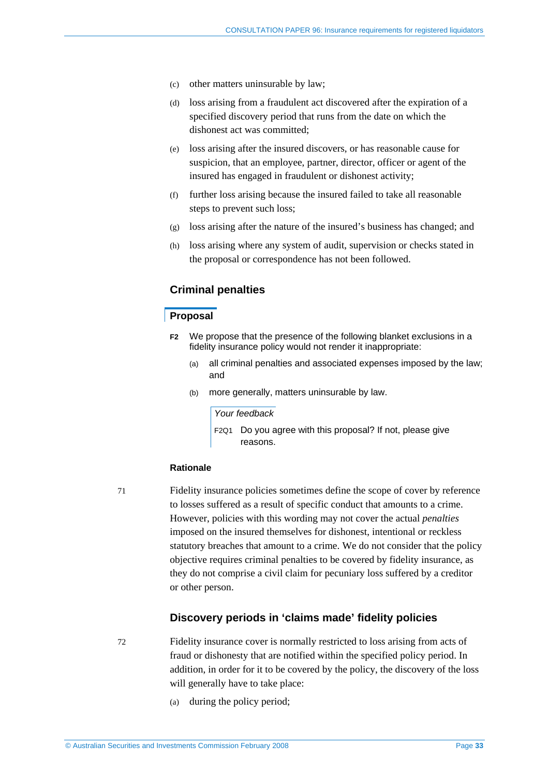- (c) other matters uninsurable by law;
- (d) loss arising from a fraudulent act discovered after the expiration of a specified discovery period that runs from the date on which the dishonest act was committed;
- (e) loss arising after the insured discovers, or has reasonable cause for suspicion, that an employee, partner, director, officer or agent of the insured has engaged in fraudulent or dishonest activity;
- (f) further loss arising because the insured failed to take all reasonable steps to prevent such loss;
- (g) loss arising after the nature of the insured's business has changed; and
- (h) loss arising where any system of audit, supervision or checks stated in the proposal or correspondence has not been followed.

## **Criminal penalties**

### **Proposal**

- **F2** We propose that the presence of the following blanket exclusions in a fidelity insurance policy would not render it inappropriate:
	- (a) all criminal penalties and associated expenses imposed by the law; and
	- (b) more generally, matters uninsurable by law.

*Your feedback* 

F2Q1 Do you agree with this proposal? If not, please give reasons.

#### **Rationale**

71 Fidelity insurance policies sometimes define the scope of cover by reference to losses suffered as a result of specific conduct that amounts to a crime. However, policies with this wording may not cover the actual *penalties* imposed on the insured themselves for dishonest, intentional or reckless statutory breaches that amount to a crime. We do not consider that the policy objective requires criminal penalties to be covered by fidelity insurance, as they do not comprise a civil claim for pecuniary loss suffered by a creditor or other person.

### **Discovery periods in 'claims made' fidelity policies**

72 Fidelity insurance cover is normally restricted to loss arising from acts of fraud or dishonesty that are notified within the specified policy period. In addition, in order for it to be covered by the policy, the discovery of the loss will generally have to take place:

(a) during the policy period;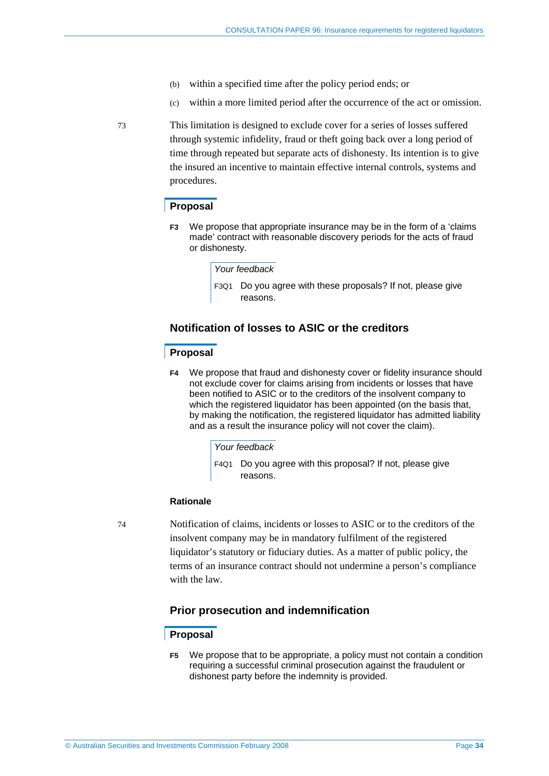- (b) within a specified time after the policy period ends; or
- (c) within a more limited period after the occurrence of the act or omission.

73 This limitation is designed to exclude cover for a series of losses suffered through systemic infidelity, fraud or theft going back over a long period of time through repeated but separate acts of dishonesty. Its intention is to give the insured an incentive to maintain effective internal controls, systems and procedures.

### **Proposal**

**F3** We propose that appropriate insurance may be in the form of a 'claims made' contract with reasonable discovery periods for the acts of fraud or dishonesty.

#### *Your feedback*

F3Q1 Do you agree with these proposals? If not, please give reasons.

## **Notification of losses to ASIC or the creditors**

#### **Proposal**

**F4** We propose that fraud and dishonesty cover or fidelity insurance should not exclude cover for claims arising from incidents or losses that have been notified to ASIC or to the creditors of the insolvent company to which the registered liquidator has been appointed (on the basis that, by making the notification, the registered liquidator has admitted liability and as a result the insurance policy will not cover the claim).

#### *Your feedback*

F4Q1 Do you agree with this proposal? If not, please give reasons.

#### **Rationale**

74 Notification of claims, incidents or losses to ASIC or to the creditors of the insolvent company may be in mandatory fulfilment of the registered liquidator's statutory or fiduciary duties. As a matter of public policy, the terms of an insurance contract should not undermine a person's compliance with the law.

## **Prior prosecution and indemnification**

## **Proposal**

**F5** We propose that to be appropriate, a policy must not contain a condition requiring a successful criminal prosecution against the fraudulent or dishonest party before the indemnity is provided.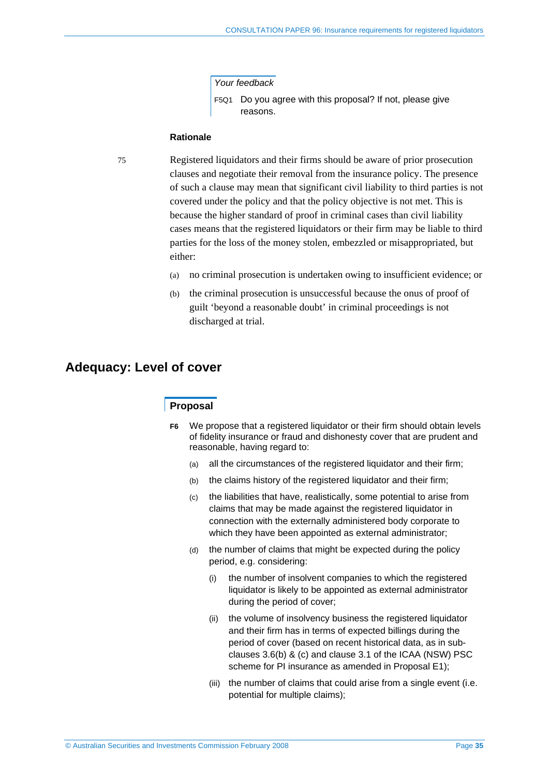*Your feedback* 

F5Q1 Do you agree with this proposal? If not, please give reasons.

#### **Rationale**

75 Registered liquidators and their firms should be aware of prior prosecution clauses and negotiate their removal from the insurance policy. The presence of such a clause may mean that significant civil liability to third parties is not covered under the policy and that the policy objective is not met. This is because the higher standard of proof in criminal cases than civil liability cases means that the registered liquidators or their firm may be liable to third parties for the loss of the money stolen, embezzled or misappropriated, but either:

- (a) no criminal prosecution is undertaken owing to insufficient evidence; or
- (b) the criminal prosecution is unsuccessful because the onus of proof of guilt 'beyond a reasonable doubt' in criminal proceedings is not discharged at trial.

## **Adequacy: Level of cover**

### **Proposal**

- **F6** We propose that a registered liquidator or their firm should obtain levels of fidelity insurance or fraud and dishonesty cover that are prudent and reasonable, having regard to:
	- (a) all the circumstances of the registered liquidator and their firm;
	- (b) the claims history of the registered liquidator and their firm;
	- (c) the liabilities that have, realistically, some potential to arise from claims that may be made against the registered liquidator in connection with the externally administered body corporate to which they have been appointed as external administrator;
	- (d) the number of claims that might be expected during the policy period, e.g. considering:
		- (i) the number of insolvent companies to which the registered liquidator is likely to be appointed as external administrator during the period of cover;
		- (ii) the volume of insolvency business the registered liquidator and their firm has in terms of expected billings during the period of cover (based on recent historical data, as in subclauses 3.6(b) & (c) and clause 3.1 of the ICAA (NSW) PSC scheme for PI insurance as amended in Proposal E1);
		- (iii) the number of claims that could arise from a single event (i.e. potential for multiple claims);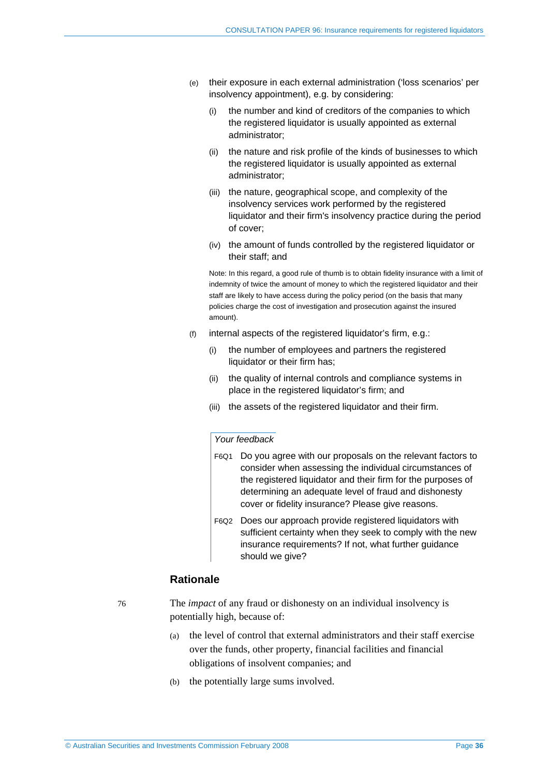- (e) their exposure in each external administration ('loss scenarios' per insolvency appointment), e.g. by considering:
	- (i) the number and kind of creditors of the companies to which the registered liquidator is usually appointed as external administrator;
	- (ii) the nature and risk profile of the kinds of businesses to which the registered liquidator is usually appointed as external administrator;
	- (iii) the nature, geographical scope, and complexity of the insolvency services work performed by the registered liquidator and their firm's insolvency practice during the period of cover;
	- (iv) the amount of funds controlled by the registered liquidator or their staff; and

Note: In this regard, a good rule of thumb is to obtain fidelity insurance with a limit of indemnity of twice the amount of money to which the registered liquidator and their staff are likely to have access during the policy period (on the basis that many policies charge the cost of investigation and prosecution against the insured amount).

- (f) internal aspects of the registered liquidator's firm, e.g.:
	- (i) the number of employees and partners the registered liquidator or their firm has;
	- (ii) the quality of internal controls and compliance systems in place in the registered liquidator's firm; and
	- (iii) the assets of the registered liquidator and their firm.

#### *Your feedback*

- F6Q1 Do you agree with our proposals on the relevant factors to consider when assessing the individual circumstances of the registered liquidator and their firm for the purposes of determining an adequate level of fraud and dishonesty cover or fidelity insurance? Please give reasons.
- F6Q2 Does our approach provide registered liquidators with sufficient certainty when they seek to comply with the new insurance requirements? If not, what further guidance should we give?

## **Rationale**

76 The *impact* of any fraud or dishonesty on an individual insolvency is potentially high, because of:

- (a) the level of control that external administrators and their staff exercise over the funds, other property, financial facilities and financial obligations of insolvent companies; and
- (b) the potentially large sums involved.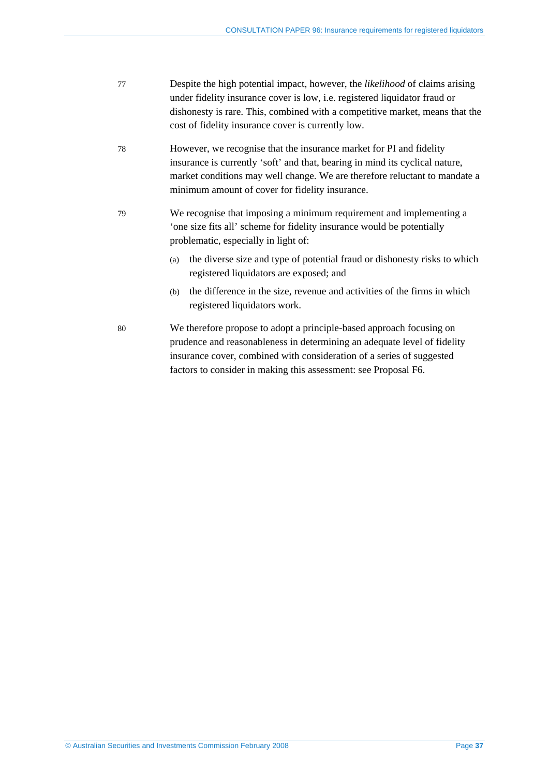| 77 | Despite the high potential impact, however, the <i>likelihood</i> of claims arising |
|----|-------------------------------------------------------------------------------------|
|    | under fidelity insurance cover is low, <i>i.e.</i> registered liquidator fraud or   |
|    | dishonesty is rare. This, combined with a competitive market, means that the        |
|    | cost of fidelity insurance cover is currently low.                                  |

- 78 However, we recognise that the insurance market for PI and fidelity insurance is currently 'soft' and that, bearing in mind its cyclical nature, market conditions may well change. We are therefore reluctant to mandate a minimum amount of cover for fidelity insurance.
- 79 We recognise that imposing a minimum requirement and implementing a 'one size fits all' scheme for fidelity insurance would be potentially problematic, especially in light of:
	- (a) the diverse size and type of potential fraud or dishonesty risks to which registered liquidators are exposed; and
	- (b) the difference in the size, revenue and activities of the firms in which registered liquidators work.
- 80 We therefore propose to adopt a principle-based approach focusing on prudence and reasonableness in determining an adequate level of fidelity insurance cover, combined with consideration of a series of suggested factors to consider in making this assessment: see Proposal F6.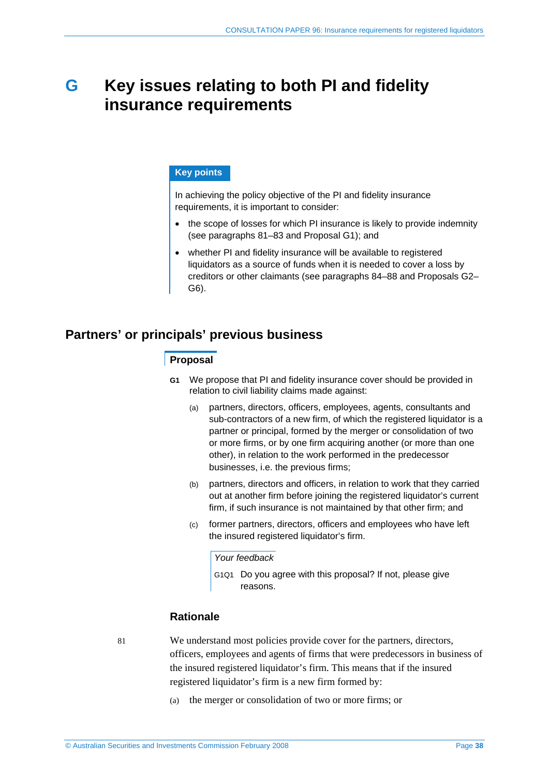# **G Key issues relating to both PI and fidelity insurance requirements**

## **Key points**

In achieving the policy objective of the PI and fidelity insurance requirements, it is important to consider:

- the scope of losses for which PI insurance is likely to provide indemnity (see paragraphs 81–83 and Proposal G1); and
- whether PI and fidelity insurance will be available to registered liquidators as a source of funds when it is needed to cover a loss by creditors or other claimants (see paragraphs 84–88 and Proposals G2– G6).

## **Partners' or principals' previous business**

## **Proposal**

- **G1** We propose that PI and fidelity insurance cover should be provided in relation to civil liability claims made against:
	- (a) partners, directors, officers, employees, agents, consultants and sub-contractors of a new firm, of which the registered liquidator is a partner or principal, formed by the merger or consolidation of two or more firms, or by one firm acquiring another (or more than one other), in relation to the work performed in the predecessor businesses, i.e. the previous firms;
	- (b) partners, directors and officers, in relation to work that they carried out at another firm before joining the registered liquidator's current firm, if such insurance is not maintained by that other firm; and
	- (c) former partners, directors, officers and employees who have left the insured registered liquidator's firm.

#### *Your feedback*

G1Q1 Do you agree with this proposal? If not, please give reasons.

## **Rationale**

81 We understand most policies provide cover for the partners, directors, officers, employees and agents of firms that were predecessors in business of the insured registered liquidator's firm. This means that if the insured registered liquidator's firm is a new firm formed by:

(a) the merger or consolidation of two or more firms; or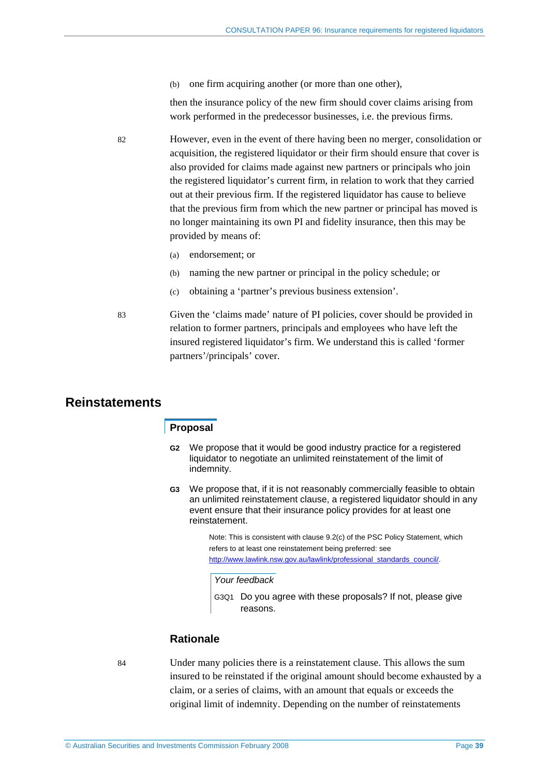(b) one firm acquiring another (or more than one other),

then the insurance policy of the new firm should cover claims arising from work performed in the predecessor businesses, i.e. the previous firms.

- 82 However, even in the event of there having been no merger, consolidation or acquisition, the registered liquidator or their firm should ensure that cover is also provided for claims made against new partners or principals who join the registered liquidator's current firm, in relation to work that they carried out at their previous firm. If the registered liquidator has cause to believe that the previous firm from which the new partner or principal has moved is no longer maintaining its own PI and fidelity insurance, then this may be provided by means of:
	- (a) endorsement; or
	- (b) naming the new partner or principal in the policy schedule; or
	- (c) obtaining a 'partner's previous business extension'.
- 83 Given the 'claims made' nature of PI policies, cover should be provided in relation to former partners, principals and employees who have left the insured registered liquidator's firm. We understand this is called 'former partners'/principals' cover.

## **Reinstatements**

## **Proposal**

- **G2** We propose that it would be good industry practice for a registered liquidator to negotiate an unlimited reinstatement of the limit of indemnity.
- **G3** We propose that, if it is not reasonably commercially feasible to obtain an unlimited reinstatement clause, a registered liquidator should in any event ensure that their insurance policy provides for at least one reinstatement.

Note: This is consistent with clause 9.2(c) of the PSC Policy Statement, which refers to at least one reinstatement being preferred: see http://www.lawlink.nsw.gov.au/lawlink/professional\_standards\_council/.

#### *Your feedback*

G3Q1 Do you agree with these proposals? If not, please give reasons.

#### **Rationale**

84 Under many policies there is a reinstatement clause. This allows the sum insured to be reinstated if the original amount should become exhausted by a claim, or a series of claims, with an amount that equals or exceeds the original limit of indemnity. Depending on the number of reinstatements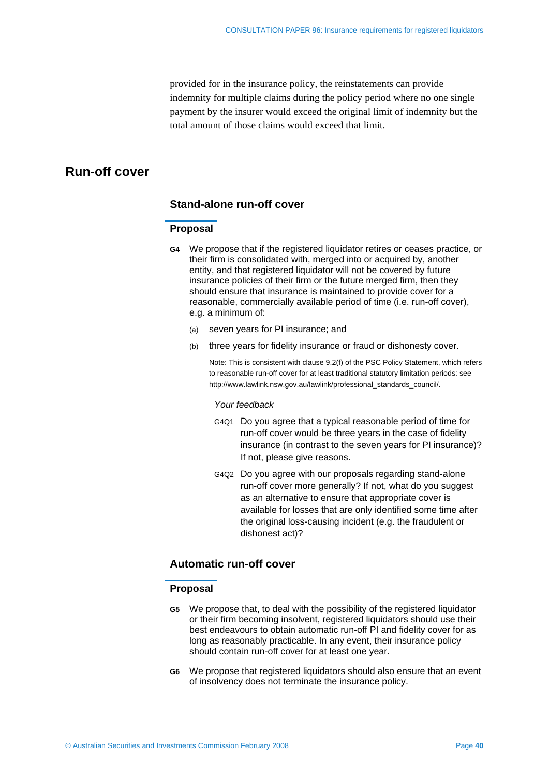provided for in the insurance policy, the reinstatements can provide indemnity for multiple claims during the policy period where no one single payment by the insurer would exceed the original limit of indemnity but the total amount of those claims would exceed that limit.

## **Run-off cover**

### **Stand-alone run-off cover**

### **Proposal**

- **G4** We propose that if the registered liquidator retires or ceases practice, or their firm is consolidated with, merged into or acquired by, another entity, and that registered liquidator will not be covered by future insurance policies of their firm or the future merged firm, then they should ensure that insurance is maintained to provide cover for a reasonable, commercially available period of time (i.e. run-off cover), e.g. a minimum of:
	- (a) seven years for PI insurance; and
	- (b) three years for fidelity insurance or fraud or dishonesty cover.

Note: This is consistent with clause 9.2(f) of the PSC Policy Statement, which refers to reasonable run-off cover for at least traditional statutory limitation periods: see http://www.lawlink.nsw.gov.au/lawlink/professional\_standards\_council/.

#### *Your feedback*

- G4Q1 Do you agree that a typical reasonable period of time for run-off cover would be three years in the case of fidelity insurance (in contrast to the seven years for PI insurance)? If not, please give reasons.
- G4Q2 Do you agree with our proposals regarding stand-alone run-off cover more generally? If not, what do you suggest as an alternative to ensure that appropriate cover is available for losses that are only identified some time after the original loss-causing incident (e.g. the fraudulent or dishonest act)?

## **Automatic run-off cover**

### **Proposal**

- **G5** We propose that, to deal with the possibility of the registered liquidator or their firm becoming insolvent, registered liquidators should use their best endeavours to obtain automatic run-off PI and fidelity cover for as long as reasonably practicable. In any event, their insurance policy should contain run-off cover for at least one year.
- **G6** We propose that registered liquidators should also ensure that an event of insolvency does not terminate the insurance policy.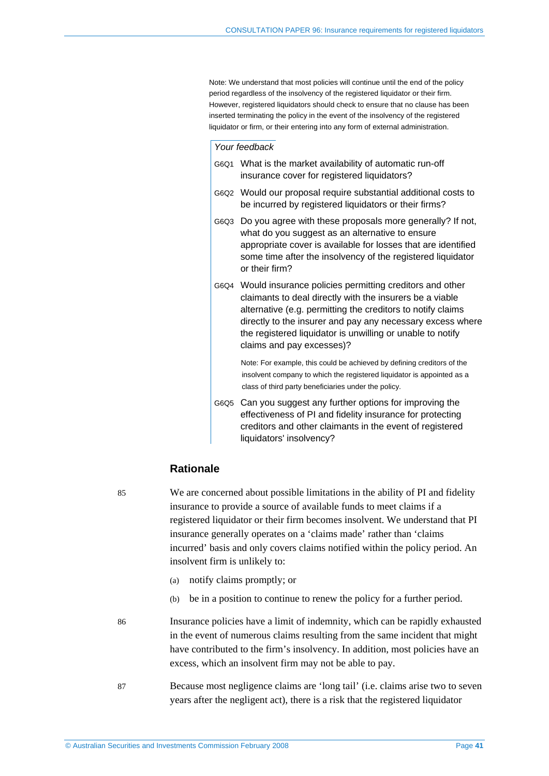Note: We understand that most policies will continue until the end of the policy period regardless of the insolvency of the registered liquidator or their firm. However, registered liquidators should check to ensure that no clause has been inserted terminating the policy in the event of the insolvency of the registered liquidator or firm, or their entering into any form of external administration.

#### *Your feedback*

- G6Q1 What is the market availability of automatic run-off insurance cover for registered liquidators?
- G6Q2 Would our proposal require substantial additional costs to be incurred by registered liquidators or their firms?
- G6Q3 Do you agree with these proposals more generally? If not, what do you suggest as an alternative to ensure appropriate cover is available for losses that are identified some time after the insolvency of the registered liquidator or their firm?
- G6Q4 Would insurance policies permitting creditors and other claimants to deal directly with the insurers be a viable alternative (e.g. permitting the creditors to notify claims directly to the insurer and pay any necessary excess where the registered liquidator is unwilling or unable to notify claims and pay excesses)?

 Note: For example, this could be achieved by defining creditors of the insolvent company to which the registered liquidator is appointed as a class of third party beneficiaries under the policy.

G6Q5 Can you suggest any further options for improving the effectiveness of PI and fidelity insurance for protecting creditors and other claimants in the event of registered liquidators' insolvency?

## **Rationale**

85 We are concerned about possible limitations in the ability of PI and fidelity insurance to provide a source of available funds to meet claims if a registered liquidator or their firm becomes insolvent. We understand that PI insurance generally operates on a 'claims made' rather than 'claims incurred' basis and only covers claims notified within the policy period. An insolvent firm is unlikely to:

- (a) notify claims promptly; or
- (b) be in a position to continue to renew the policy for a further period.

86 Insurance policies have a limit of indemnity, which can be rapidly exhausted in the event of numerous claims resulting from the same incident that might have contributed to the firm's insolvency. In addition, most policies have an excess, which an insolvent firm may not be able to pay.

87 Because most negligence claims are 'long tail' (i.e. claims arise two to seven years after the negligent act), there is a risk that the registered liquidator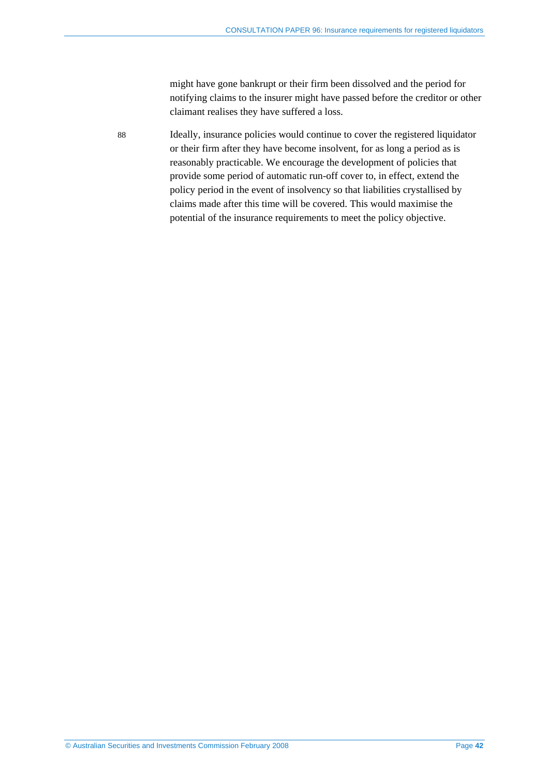might have gone bankrupt or their firm been dissolved and the period for notifying claims to the insurer might have passed before the creditor or other claimant realises they have suffered a loss.

88 Ideally, insurance policies would continue to cover the registered liquidator or their firm after they have become insolvent, for as long a period as is reasonably practicable. We encourage the development of policies that provide some period of automatic run-off cover to, in effect, extend the policy period in the event of insolvency so that liabilities crystallised by claims made after this time will be covered. This would maximise the potential of the insurance requirements to meet the policy objective.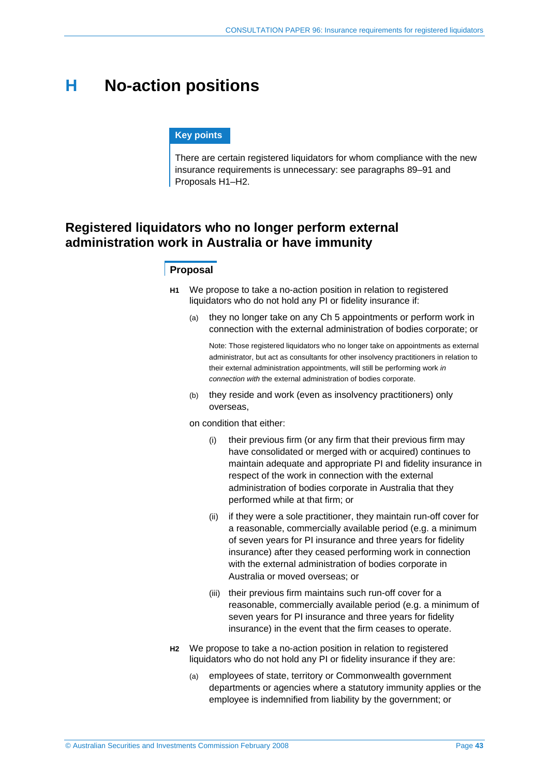# **H No-action positions**

#### **Key points**

There are certain registered liquidators for whom compliance with the new insurance requirements is unnecessary: see paragraphs 89–91 and Proposals H1–H2.

# **Registered liquidators who no longer perform external administration work in Australia or have immunity**

## **Proposal**

- **H1** We propose to take a no-action position in relation to registered liquidators who do not hold any PI or fidelity insurance if:
	- (a) they no longer take on any Ch 5 appointments or perform work in connection with the external administration of bodies corporate; or

Note: Those registered liquidators who no longer take on appointments as external administrator, but act as consultants for other insolvency practitioners in relation to their external administration appointments, will still be performing work *in connection with* the external administration of bodies corporate.

(b) they reside and work (even as insolvency practitioners) only overseas,

on condition that either:

- (i) their previous firm (or any firm that their previous firm may have consolidated or merged with or acquired) continues to maintain adequate and appropriate PI and fidelity insurance in respect of the work in connection with the external administration of bodies corporate in Australia that they performed while at that firm; or
- (ii) if they were a sole practitioner, they maintain run-off cover for a reasonable, commercially available period (e.g. a minimum of seven years for PI insurance and three years for fidelity insurance) after they ceased performing work in connection with the external administration of bodies corporate in Australia or moved overseas; or
- (iii) their previous firm maintains such run-off cover for a reasonable, commercially available period (e.g. a minimum of seven years for PI insurance and three years for fidelity insurance) in the event that the firm ceases to operate.
- **H2** We propose to take a no-action position in relation to registered liquidators who do not hold any PI or fidelity insurance if they are:
	- (a) employees of state, territory or Commonwealth government departments or agencies where a statutory immunity applies or the employee is indemnified from liability by the government; or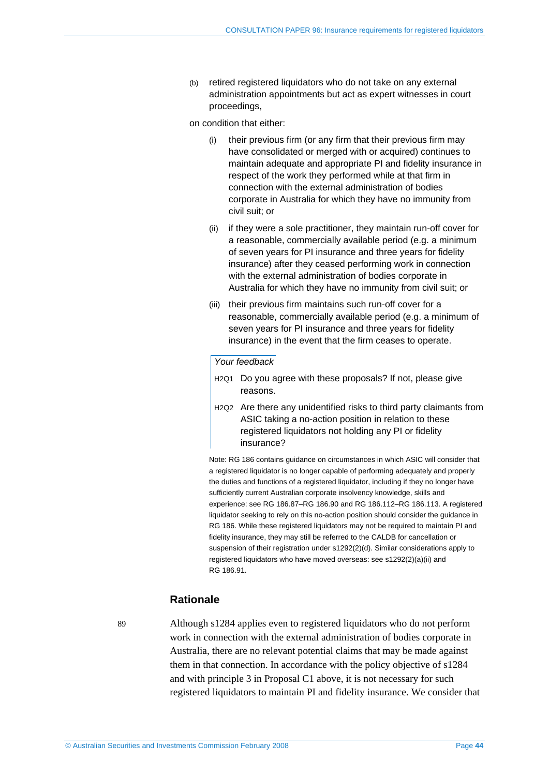(b) retired registered liquidators who do not take on any external administration appointments but act as expert witnesses in court proceedings,

on condition that either:

- their previous firm (or any firm that their previous firm may have consolidated or merged with or acquired) continues to maintain adequate and appropriate PI and fidelity insurance in respect of the work they performed while at that firm in connection with the external administration of bodies corporate in Australia for which they have no immunity from civil suit; or
- (ii) if they were a sole practitioner, they maintain run-off cover for a reasonable, commercially available period (e.g. a minimum of seven years for PI insurance and three years for fidelity insurance) after they ceased performing work in connection with the external administration of bodies corporate in Australia for which they have no immunity from civil suit; or
- (iii) their previous firm maintains such run-off cover for a reasonable, commercially available period (e.g. a minimum of seven years for PI insurance and three years for fidelity insurance) in the event that the firm ceases to operate.

## *Your feedback*

- H<sub>2Q1</sub> Do you agree with these proposals? If not, please give reasons.
- H2Q2 Are there any unidentified risks to third party claimants from ASIC taking a no-action position in relation to these registered liquidators not holding any PI or fidelity insurance?

Note: RG 186 contains guidance on circumstances in which ASIC will consider that a registered liquidator is no longer capable of performing adequately and properly the duties and functions of a registered liquidator, including if they no longer have sufficiently current Australian corporate insolvency knowledge, skills and experience: see RG 186.87–RG 186.90 and RG 186.112–RG 186.113. A registered liquidator seeking to rely on this no-action position should consider the guidance in RG 186. While these registered liquidators may not be required to maintain PI and fidelity insurance, they may still be referred to the CALDB for cancellation or suspension of their registration under s1292(2)(d). Similar considerations apply to registered liquidators who have moved overseas: see s1292(2)(a)(ii) and RG 186.91.

## **Rationale**

89 Although s1284 applies even to registered liquidators who do not perform work in connection with the external administration of bodies corporate in Australia, there are no relevant potential claims that may be made against them in that connection. In accordance with the policy objective of s1284 and with principle 3 in Proposal C1 above, it is not necessary for such registered liquidators to maintain PI and fidelity insurance. We consider that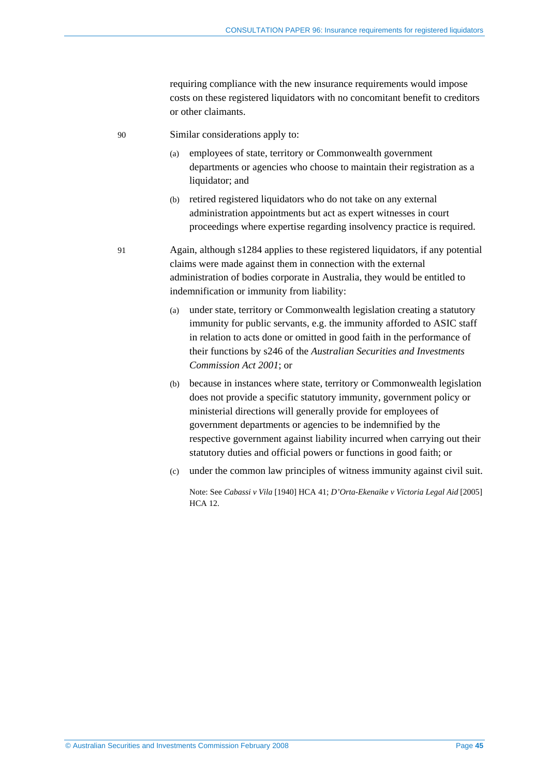requiring compliance with the new insurance requirements would impose costs on these registered liquidators with no concomitant benefit to creditors or other claimants.

- 90 Similar considerations apply to:
	- (a) employees of state, territory or Commonwealth government departments or agencies who choose to maintain their registration as a liquidator; and
	- (b) retired registered liquidators who do not take on any external administration appointments but act as expert witnesses in court proceedings where expertise regarding insolvency practice is required.
- 91 Again, although s1284 applies to these registered liquidators, if any potential claims were made against them in connection with the external administration of bodies corporate in Australia, they would be entitled to indemnification or immunity from liability:
	- (a) under state, territory or Commonwealth legislation creating a statutory immunity for public servants, e.g. the immunity afforded to ASIC staff in relation to acts done or omitted in good faith in the performance of their functions by s246 of the *Australian Securities and Investments Commission Act 2001*; or
	- (b) because in instances where state, territory or Commonwealth legislation does not provide a specific statutory immunity, government policy or ministerial directions will generally provide for employees of government departments or agencies to be indemnified by the respective government against liability incurred when carrying out their statutory duties and official powers or functions in good faith; or
	- (c) under the common law principles of witness immunity against civil suit.

Note: See *Cabassi v Vila* [1940] HCA 41; *D'Orta-Ekenaike v Victoria Legal Aid* [2005] HCA 12.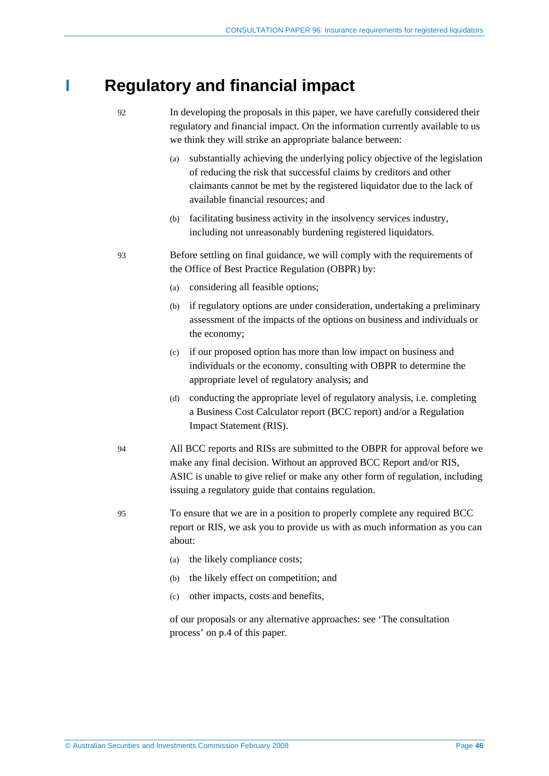# **I Regulatory and financial impact**

- 92 In developing the proposals in this paper, we have carefully considered their regulatory and financial impact. On the information currently available to us we think they will strike an appropriate balance between:
	- (a) substantially achieving the underlying policy objective of the legislation of reducing the risk that successful claims by creditors and other claimants cannot be met by the registered liquidator due to the lack of available financial resources; and
	- (b) facilitating business activity in the insolvency services industry, including not unreasonably burdening registered liquidators.
- 93 Before settling on final guidance, we will comply with the requirements of the Office of Best Practice Regulation (OBPR) by:
	- (a) considering all feasible options;
	- (b) if regulatory options are under consideration, undertaking a preliminary assessment of the impacts of the options on business and individuals or the economy;
	- (c) if our proposed option has more than low impact on business and individuals or the economy, consulting with OBPR to determine the appropriate level of regulatory analysis; and
	- (d) conducting the appropriate level of regulatory analysis, i.e. completing a Business Cost Calculator report (BCC report) and/or a Regulation Impact Statement (RIS).
- 94 All BCC reports and RISs are submitted to the OBPR for approval before we make any final decision. Without an approved BCC Report and/or RIS, ASIC is unable to give relief or make any other form of regulation, including issuing a regulatory guide that contains regulation.
- 95 To ensure that we are in a position to properly complete any required BCC report or RIS, we ask you to provide us with as much information as you can about:
	- (a) the likely compliance costs;
	- (b) the likely effect on competition; and
	- (c) other impacts, costs and benefits,

of our proposals or any alternative approaches: see 'The consultation process' on p.4 of this paper.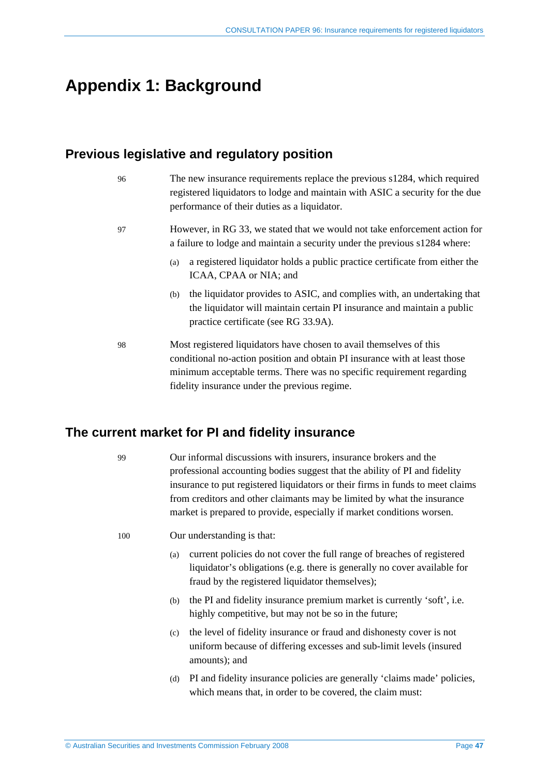# **Appendix 1: Background**

# **Previous legislative and regulatory position**

| 96 | The new insurance requirements replace the previous s1284, which required<br>registered liquidators to lodge and maintain with ASIC a security for the due<br>performance of their duties as a liquidator.                                                                  |
|----|-----------------------------------------------------------------------------------------------------------------------------------------------------------------------------------------------------------------------------------------------------------------------------|
| 97 | However, in RG 33, we stated that we would not take enforcement action for<br>a failure to lodge and maintain a security under the previous s1284 where:                                                                                                                    |
|    | a registered liquidator holds a public practice certificate from either the<br>(a)<br>ICAA, CPAA or NIA; and                                                                                                                                                                |
|    | the liquidator provides to ASIC, and complies with, an undertaking that<br>(b)<br>the liquidator will maintain certain PI insurance and maintain a public<br>practice certificate (see RG 33.9A).                                                                           |
| 98 | Most registered liquidators have chosen to avail themselves of this<br>conditional no-action position and obtain PI insurance with at least those<br>minimum acceptable terms. There was no specific requirement regarding<br>fidelity insurance under the previous regime. |

# **The current market for PI and fidelity insurance**

99 Our informal discussions with insurers, insurance brokers and the professional accounting bodies suggest that the ability of PI and fidelity insurance to put registered liquidators or their firms in funds to meet claims from creditors and other claimants may be limited by what the insurance market is prepared to provide, especially if market conditions worsen.

100 Our understanding is that:

- (a) current policies do not cover the full range of breaches of registered liquidator's obligations (e.g. there is generally no cover available for fraud by the registered liquidator themselves);
- (b) the PI and fidelity insurance premium market is currently 'soft', i.e. highly competitive, but may not be so in the future;
- (c) the level of fidelity insurance or fraud and dishonesty cover is not uniform because of differing excesses and sub-limit levels (insured amounts); and
- (d) PI and fidelity insurance policies are generally 'claims made' policies, which means that, in order to be covered, the claim must: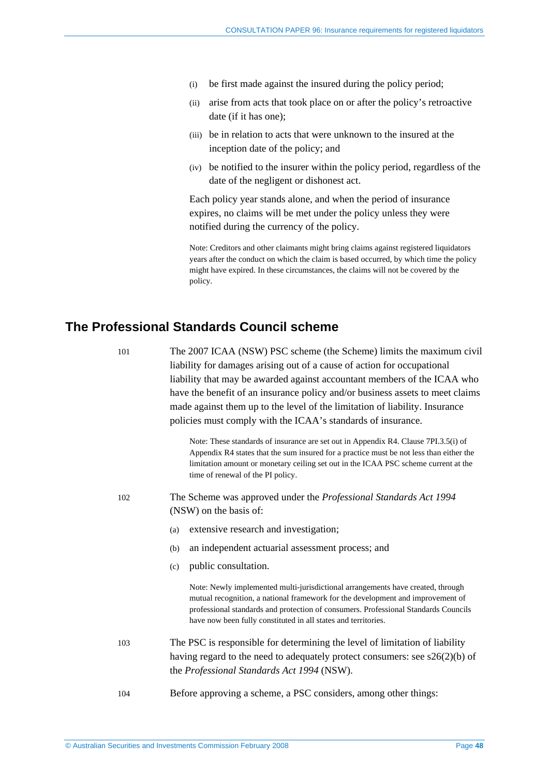- (i) be first made against the insured during the policy period;
- (ii) arise from acts that took place on or after the policy's retroactive date (if it has one);
- (iii) be in relation to acts that were unknown to the insured at the inception date of the policy; and
- (iv) be notified to the insurer within the policy period, regardless of the date of the negligent or dishonest act.

Each policy year stands alone, and when the period of insurance expires, no claims will be met under the policy unless they were notified during the currency of the policy.

Note: Creditors and other claimants might bring claims against registered liquidators years after the conduct on which the claim is based occurred, by which time the policy might have expired. In these circumstances, the claims will not be covered by the policy.

## **The Professional Standards Council scheme**

101 The 2007 ICAA (NSW) PSC scheme (the Scheme) limits the maximum civil liability for damages arising out of a cause of action for occupational liability that may be awarded against accountant members of the ICAA who have the benefit of an insurance policy and/or business assets to meet claims made against them up to the level of the limitation of liability. Insurance policies must comply with the ICAA's standards of insurance.

> Note: These standards of insurance are set out in Appendix R4. Clause 7PI.3.5(i) of Appendix R4 states that the sum insured for a practice must be not less than either the limitation amount or monetary ceiling set out in the ICAA PSC scheme current at the time of renewal of the PI policy.

- 102 The Scheme was approved under the *Professional Standards Act 1994* (NSW) on the basis of:
	- (a) extensive research and investigation;
	- (b) an independent actuarial assessment process; and
	- (c) public consultation.

Note: Newly implemented multi-jurisdictional arrangements have created, through mutual recognition, a national framework for the development and improvement of professional standards and protection of consumers. Professional Standards Councils have now been fully constituted in all states and territories.

- 103 The PSC is responsible for determining the level of limitation of liability having regard to the need to adequately protect consumers: see  $s26(2)(b)$  of the *Professional Standards Act 1994* (NSW).
- 104 Before approving a scheme, a PSC considers, among other things: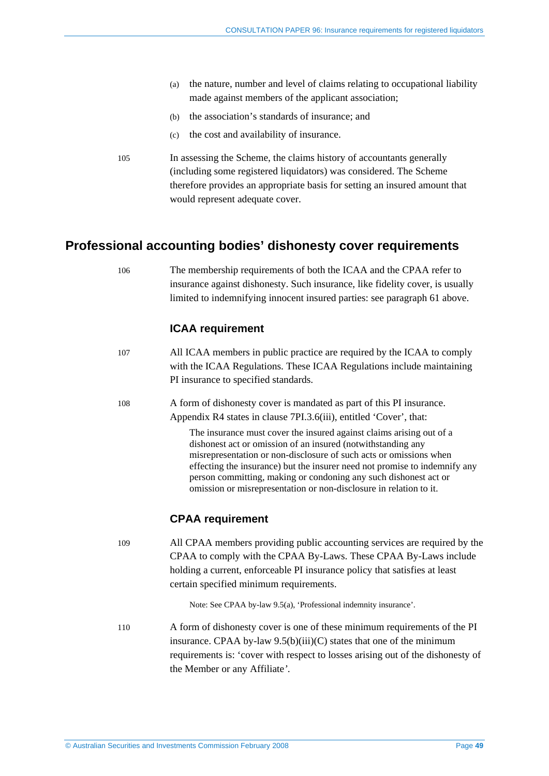- (a) the nature, number and level of claims relating to occupational liability made against members of the applicant association;
- (b) the association's standards of insurance; and
- (c) the cost and availability of insurance.
- 105 In assessing the Scheme, the claims history of accountants generally (including some registered liquidators) was considered. The Scheme therefore provides an appropriate basis for setting an insured amount that would represent adequate cover.

# **Professional accounting bodies' dishonesty cover requirements**

106 The membership requirements of both the ICAA and the CPAA refer to insurance against dishonesty. Such insurance, like fidelity cover, is usually limited to indemnifying innocent insured parties: see paragraph 61 above.

## **ICAA requirement**

| 107 | All ICAA members in public practice are required by the ICAA to comply<br>with the ICAA Regulations. These ICAA Regulations include maintaining<br>PI insurance to specified standards.                                                                                                                                                                                                                                            |
|-----|------------------------------------------------------------------------------------------------------------------------------------------------------------------------------------------------------------------------------------------------------------------------------------------------------------------------------------------------------------------------------------------------------------------------------------|
| 108 | A form of dishonesty cover is mandated as part of this PI insurance.<br>Appendix R4 states in clause 7PI.3.6(iii), entitled 'Cover', that:                                                                                                                                                                                                                                                                                         |
|     | The insurance must cover the insured against claims arising out of a<br>dishonest act or omission of an insured (notwithstanding any<br>misrepresentation or non-disclosure of such acts or omissions when<br>effecting the insurance) but the insurer need not promise to indemnify any<br>person committing, making or condoning any such dishonest act or<br>omission or misrepresentation or non-disclosure in relation to it. |
|     | <b>CPAA requirement</b>                                                                                                                                                                                                                                                                                                                                                                                                            |
| 109 | All CPAA members providing public accounting services are required by the<br>CPAA to comply with the CPAA By-Laws. These CPAA By-Laws include<br>holding a current, enforceable PI insurance policy that satisfies at least<br>certain specified minimum requirements.                                                                                                                                                             |
|     | Note: See CPAA by-law 9.5(a), 'Professional indemnity insurance'.                                                                                                                                                                                                                                                                                                                                                                  |
| 110 | A form of dishonesty cover is one of these minimum requirements of the PI<br>insurance. CPAA by-law $9.5(b)(iii)(C)$ states that one of the minimum<br>requirements is: 'cover with respect to losses arising out of the dishonesty of                                                                                                                                                                                             |

the Member or any Affiliate*'*.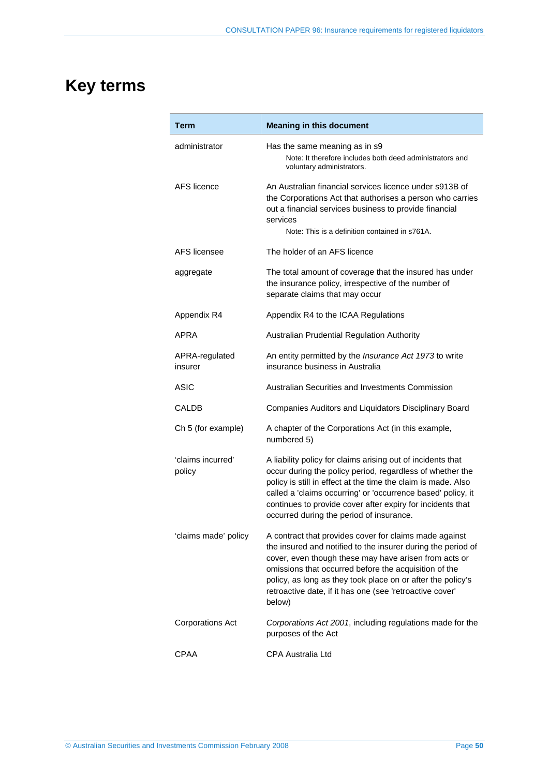# **Key terms**

| Term                        | <b>Meaning in this document</b>                                                                                                                                                                                                                                                                                                                                               |
|-----------------------------|-------------------------------------------------------------------------------------------------------------------------------------------------------------------------------------------------------------------------------------------------------------------------------------------------------------------------------------------------------------------------------|
| administrator               | Has the same meaning as in s9<br>Note: It therefore includes both deed administrators and<br>voluntary administrators.                                                                                                                                                                                                                                                        |
| AFS licence                 | An Australian financial services licence under s913B of<br>the Corporations Act that authorises a person who carries<br>out a financial services business to provide financial<br>services<br>Note: This is a definition contained in s761A.                                                                                                                                  |
| AFS licensee                | The holder of an AFS licence                                                                                                                                                                                                                                                                                                                                                  |
| aggregate                   | The total amount of coverage that the insured has under<br>the insurance policy, irrespective of the number of<br>separate claims that may occur                                                                                                                                                                                                                              |
| Appendix R4                 | Appendix R4 to the ICAA Regulations                                                                                                                                                                                                                                                                                                                                           |
| APRA                        | <b>Australian Prudential Regulation Authority</b>                                                                                                                                                                                                                                                                                                                             |
| APRA-regulated<br>insurer   | An entity permitted by the Insurance Act 1973 to write<br>insurance business in Australia                                                                                                                                                                                                                                                                                     |
| ASIC                        | Australian Securities and Investments Commission                                                                                                                                                                                                                                                                                                                              |
| CALDB                       | Companies Auditors and Liquidators Disciplinary Board                                                                                                                                                                                                                                                                                                                         |
| Ch 5 (for example)          | A chapter of the Corporations Act (in this example,<br>numbered 5)                                                                                                                                                                                                                                                                                                            |
| 'claims incurred'<br>policy | A liability policy for claims arising out of incidents that<br>occur during the policy period, regardless of whether the<br>policy is still in effect at the time the claim is made. Also<br>called a 'claims occurring' or 'occurrence based' policy, it<br>continues to provide cover after expiry for incidents that<br>occurred during the period of insurance.           |
| 'claims made' policy        | A contract that provides cover for claims made against<br>the insured and notified to the insurer during the period of<br>cover, even though these may have arisen from acts or<br>omissions that occurred before the acquisition of the<br>policy, as long as they took place on or after the policy's<br>retroactive date, if it has one (see 'retroactive cover'<br>below) |
| <b>Corporations Act</b>     | Corporations Act 2001, including regulations made for the<br>purposes of the Act                                                                                                                                                                                                                                                                                              |
| CPAA                        | <b>CPA Australia Ltd</b>                                                                                                                                                                                                                                                                                                                                                      |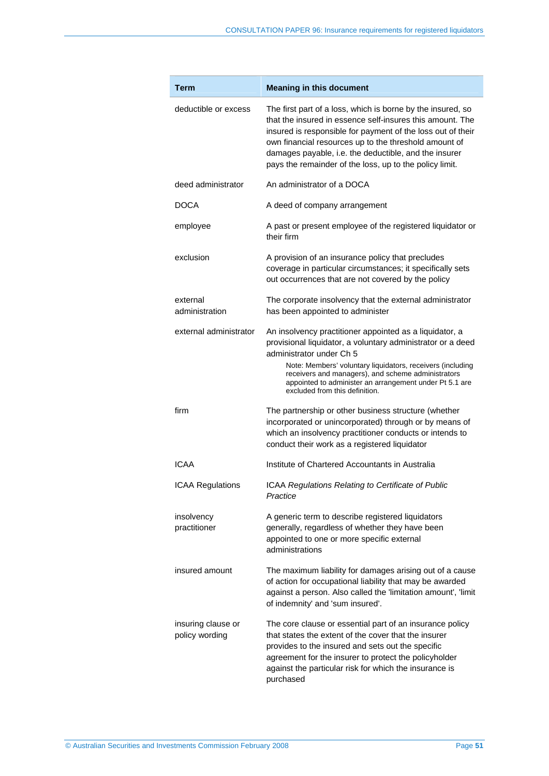| Term                                 | <b>Meaning in this document</b>                                                                                                                                                                                                                                                                                                                                      |
|--------------------------------------|----------------------------------------------------------------------------------------------------------------------------------------------------------------------------------------------------------------------------------------------------------------------------------------------------------------------------------------------------------------------|
| deductible or excess                 | The first part of a loss, which is borne by the insured, so<br>that the insured in essence self-insures this amount. The<br>insured is responsible for payment of the loss out of their<br>own financial resources up to the threshold amount of<br>damages payable, i.e. the deductible, and the insurer<br>pays the remainder of the loss, up to the policy limit. |
| deed administrator                   | An administrator of a DOCA                                                                                                                                                                                                                                                                                                                                           |
| DOCA                                 | A deed of company arrangement                                                                                                                                                                                                                                                                                                                                        |
| employee                             | A past or present employee of the registered liquidator or<br>their firm                                                                                                                                                                                                                                                                                             |
| exclusion                            | A provision of an insurance policy that precludes<br>coverage in particular circumstances; it specifically sets<br>out occurrences that are not covered by the policy                                                                                                                                                                                                |
| external<br>administration           | The corporate insolvency that the external administrator<br>has been appointed to administer                                                                                                                                                                                                                                                                         |
| external administrator               | An insolvency practitioner appointed as a liquidator, a<br>provisional liquidator, a voluntary administrator or a deed<br>administrator under Ch 5<br>Note: Members' voluntary liquidators, receivers (including<br>receivers and managers), and scheme administrators<br>appointed to administer an arrangement under Pt 5.1 are<br>excluded from this definition.  |
| firm                                 | The partnership or other business structure (whether<br>incorporated or unincorporated) through or by means of<br>which an insolvency practitioner conducts or intends to<br>conduct their work as a registered liquidator                                                                                                                                           |
| ICAA                                 | Institute of Chartered Accountants in Australia                                                                                                                                                                                                                                                                                                                      |
| <b>ICAA Regulations</b>              | ICAA Regulations Relating to Certificate of Public<br>Practice                                                                                                                                                                                                                                                                                                       |
| insolvency<br>practitioner           | A generic term to describe registered liquidators<br>generally, regardless of whether they have been<br>appointed to one or more specific external<br>administrations                                                                                                                                                                                                |
| insured amount                       | The maximum liability for damages arising out of a cause<br>of action for occupational liability that may be awarded<br>against a person. Also called the 'limitation amount', 'limit<br>of indemnity' and 'sum insured'.                                                                                                                                            |
| insuring clause or<br>policy wording | The core clause or essential part of an insurance policy<br>that states the extent of the cover that the insurer<br>provides to the insured and sets out the specific<br>agreement for the insurer to protect the policyholder<br>against the particular risk for which the insurance is<br>purchased                                                                |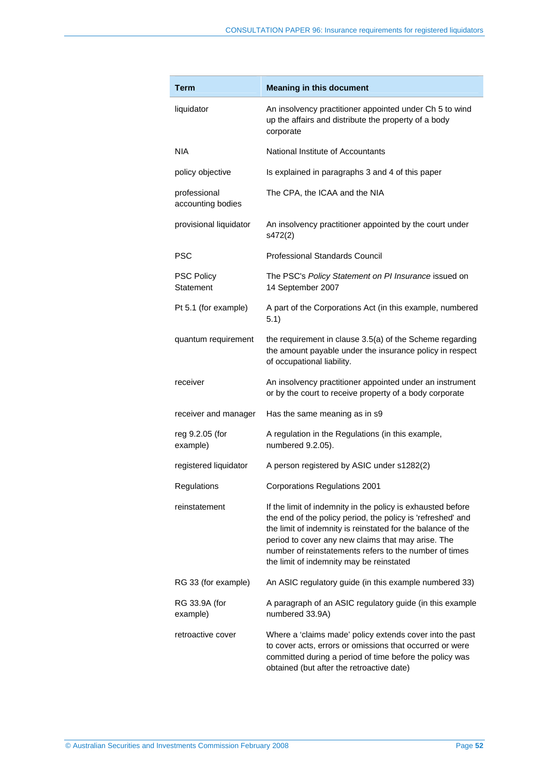| Term                              | <b>Meaning in this document</b>                                                                                                                                                                                                                                                                                                                       |
|-----------------------------------|-------------------------------------------------------------------------------------------------------------------------------------------------------------------------------------------------------------------------------------------------------------------------------------------------------------------------------------------------------|
| liquidator                        | An insolvency practitioner appointed under Ch 5 to wind<br>up the affairs and distribute the property of a body<br>corporate                                                                                                                                                                                                                          |
| <b>NIA</b>                        | National Institute of Accountants                                                                                                                                                                                                                                                                                                                     |
| policy objective                  | Is explained in paragraphs 3 and 4 of this paper                                                                                                                                                                                                                                                                                                      |
| professional<br>accounting bodies | The CPA, the ICAA and the NIA                                                                                                                                                                                                                                                                                                                         |
| provisional liquidator            | An insolvency practitioner appointed by the court under<br>s472(2)                                                                                                                                                                                                                                                                                    |
| <b>PSC</b>                        | <b>Professional Standards Council</b>                                                                                                                                                                                                                                                                                                                 |
| <b>PSC Policy</b><br>Statement    | The PSC's Policy Statement on PI Insurance issued on<br>14 September 2007                                                                                                                                                                                                                                                                             |
| Pt 5.1 (for example)              | A part of the Corporations Act (in this example, numbered<br>5.1)                                                                                                                                                                                                                                                                                     |
| quantum requirement               | the requirement in clause 3.5(a) of the Scheme regarding<br>the amount payable under the insurance policy in respect<br>of occupational liability.                                                                                                                                                                                                    |
| receiver                          | An insolvency practitioner appointed under an instrument<br>or by the court to receive property of a body corporate                                                                                                                                                                                                                                   |
| receiver and manager              | Has the same meaning as in s9                                                                                                                                                                                                                                                                                                                         |
| reg 9.2.05 (for<br>example)       | A regulation in the Regulations (in this example,<br>numbered 9.2.05).                                                                                                                                                                                                                                                                                |
| registered liquidator             | A person registered by ASIC under s1282(2)                                                                                                                                                                                                                                                                                                            |
| Regulations                       | <b>Corporations Regulations 2001</b>                                                                                                                                                                                                                                                                                                                  |
| reinstatement                     | If the limit of indemnity in the policy is exhausted before<br>the end of the policy period, the policy is 'refreshed' and<br>the limit of indemnity is reinstated for the balance of the<br>period to cover any new claims that may arise. The<br>number of reinstatements refers to the number of times<br>the limit of indemnity may be reinstated |
| RG 33 (for example)               | An ASIC regulatory guide (in this example numbered 33)                                                                                                                                                                                                                                                                                                |
| RG 33.9A (for<br>example)         | A paragraph of an ASIC regulatory guide (in this example<br>numbered 33.9A)                                                                                                                                                                                                                                                                           |
| retroactive cover                 | Where a 'claims made' policy extends cover into the past<br>to cover acts, errors or omissions that occurred or were<br>committed during a period of time before the policy was<br>obtained (but after the retroactive date)                                                                                                                          |